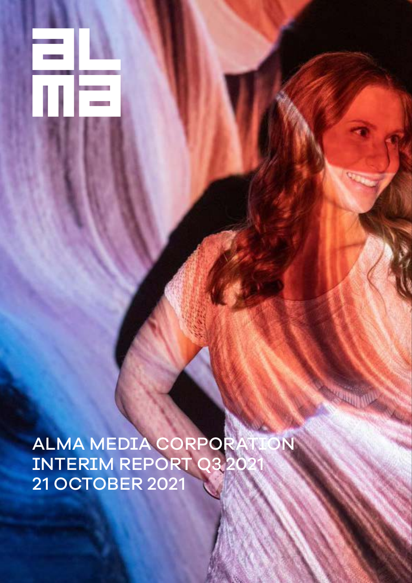ALIVIA MEDIA CORPORATION<br>Internationale assess INTERIM REPORT Q3 2021 21 OCTOBER 2021

ΠE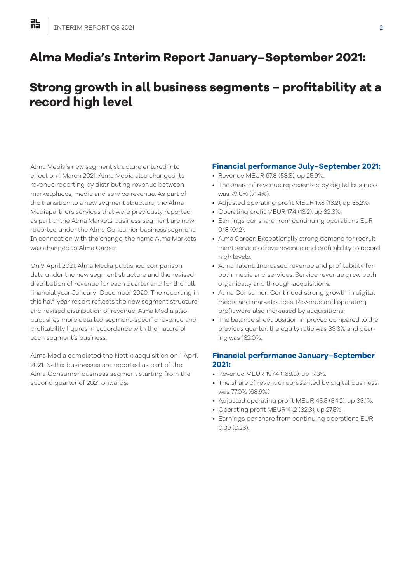# **Alma Media's Interim Report January–September 2021:**

# **Strong growth in all business segments − profitability at a record high level**

Alma Media's new segment structure entered into effect on 1 March 2021. Alma Media also changed its revenue reporting by distributing revenue between marketplaces, media and service revenue. As part of the transition to a new segment structure, the Alma Mediapartners services that were previously reported as part of the Alma Markets business segment are now reported under the Alma Consumer business segment. In connection with the change, the name Alma Markets was changed to Alma Career.

On 9 April 2021, Alma Media published comparison data under the new segment structure and the revised distribution of revenue for each quarter and for the full financial year January–December 2020. The reporting in this half-year report reflects the new segment structure and revised distribution of revenue. Alma Media also publishes more detailed segment-specific revenue and profitability figures in accordance with the nature of each segment's business.

Alma Media completed the Nettix acquisition on 1 April 2021. Nettix businesses are reported as part of the Alma Consumer business segment starting from the second quarter of 2021 onwards.

# **Financial performance July–September 2021:**

- Revenue MEUR 67.8 (53.8), up 25.9%.
- The share of revenue represented by digital business was 79.0% (71.4%).
- Adjusted operating profit MEUR 17.8 (13.2), up 35,2%.
- Operating profit MEUR 17.4 (13.2), up 32.3%.
- Earnings per share from continuing operations EUR 0.18 (0.12).
- Alma Career: Exceptionally strong demand for recruitment services drove revenue and profitability to record high levels.
- Alma Talent: Increased revenue and profitability for both media and services. Service revenue grew both organically and through acquisitions.
- Alma Consumer: Continued strong growth in digital media and marketplaces. Revenue and operating profit were also increased by acquisitions.
- The balance sheet position improved compared to the previous quarter: the equity ratio was 33.3% and gearing was 132.0%.

# **Financial performance January–September 2021:**

- Revenue MEUR 197.4 (168.3), up 17.3%.
- The share of revenue represented by digital business was 77.0% (68.6%)
- Adjusted operating profit MEUR 45.5 (34.2), up 33.1%.
- Operating profit MEUR 41.2 (32.3), up 27.5%.
- Earnings per share from continuing operations EUR 0.39 (0.26).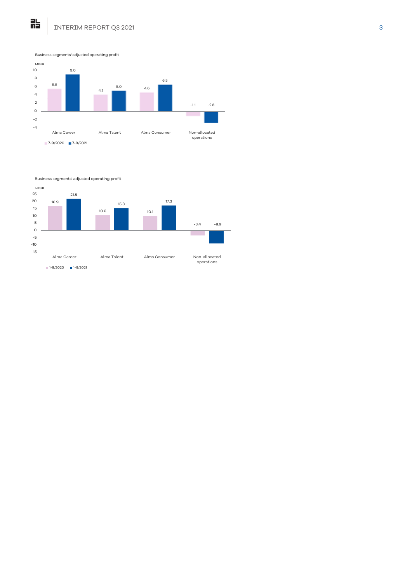

Business segments' adjusted operating profit

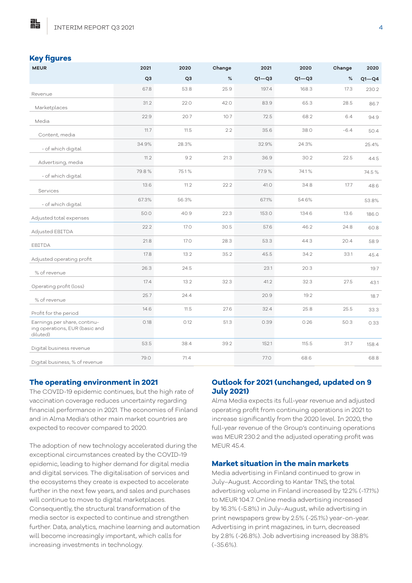#### **Key figures**

點

| <b>MEUR</b>                                                                | 2021           | 2020           | Change | 2021      | 2020      | Change | 2020      |
|----------------------------------------------------------------------------|----------------|----------------|--------|-----------|-----------|--------|-----------|
|                                                                            | Q <sub>3</sub> | Q <sub>3</sub> | %      | $Q1 - Q3$ | $Q1 - Q3$ | $\%$   | $Q1 - Q4$ |
| Revenue                                                                    | 67.8           | 53.8           | 25.9   | 197.4     | 168.3     | 17.3   | 230.2     |
| Marketplaces                                                               | 31.2           | 22.0           | 42.0   | 83.9      | 65.3      | 28.5   | 86.7      |
| Media                                                                      | 22.9           | 20.7           | 10.7   | 72.5      | 68.2      | 6.4    | 94.9      |
| Content, media                                                             | 11.7           | 11.5           | 2.2    | 35.6      | 38.0      | $-6.4$ | 50.4      |
| - of which digital                                                         | 34.9%          | 28.3%          |        | 32.9%     | 24.3%     |        | 25.4%     |
| Advertising, media                                                         | 11.2           | 9.2            | 21.3   | 36.9      | 30.2      | 22.5   | 44.5      |
| - of which digital                                                         | 79.8%          | 75.1%          |        | 77.9%     | 74.1%     |        | 74.5%     |
| Services                                                                   | 13.6           | 11.2           | 22.2   | 41.0      | 34.8      | 17.7   | 48.6      |
| - of which digital                                                         | 67.3%          | 56.3%          |        | 67.1%     | 54.6%     |        | 53.8%     |
| Adjusted total expenses                                                    | 50.0           | 40.9           | 22.3   | 153.0     | 134.6     | 13.6   | 186.0     |
| Adjusted EBITDA                                                            | 22.2           | 17.0           | 30.5   | 57.6      | 46.2      | 24.8   | 60.8      |
| EBITDA                                                                     | 21.8           | 17.0           | 28.3   | 53.3      | 44.3      | 20.4   | 58.9      |
| Adjusted operating profit                                                  | 17.8           | 13.2           | 35.2   | 45.5      | 34.2      | 33.1   | 45.4      |
| % of revenue                                                               | 26.3           | 24.5           |        | 23.1      | 20.3      |        | 19.7      |
| Operating profit (loss)                                                    | 17.4           | 13.2           | 32.3   | 41.2      | 32.3      | 27.5   | 43.1      |
| % of revenue                                                               | 25.7           | 24.4           |        | 20.9      | 19.2      |        | 18.7      |
| Profit for the period                                                      | 14.6           | 11.5           | 27.6   | 32.4      | 25.8      | 25.5   | 33.3      |
| Earnings per share, continu-<br>ing operations, EUR (basic and<br>diluted) | 0.18           | 0.12           | 51.3   | 0.39      | 0.26      | 50.3   | 0.33      |
| Digital business revenue                                                   | 53.5           | 38.4           | 39.2   | 152.1     | 115.5     | 31.7   | 158.4     |
| Digital business, % of revenue                                             | 79.0           | 71.4           |        | 77.0      | 68.6      |        | 68.8      |

## **The operating environment in 2021**

The COVID-19 epidemic continues, but the high rate of vaccination coverage reduces uncertainty regarding financial performance in 2021. The economies of Finland and in Alma Media's other main market countries are expected to recover compared to 2020.

The adoption of new technology accelerated during the exceptional circumstances created by the COVID-19 epidemic, leading to higher demand for digital media and digital services. The digitalisation of services and the ecosystems they create is expected to accelerate further in the next few years, and sales and purchases will continue to move to digital marketplaces. Consequently, the structural transformation of the media sector is expected to continue and strengthen further. Data, analytics, machine learning and automation will become increasingly important, which calls for increasing investments in technology.

# **Outlook for 2021 (unchanged, updated on 9 July 2021)**

Alma Media expects its full-year revenue and adjusted operating profit from continuing operations in 2021 to increase significantly from the 2020 level. In 2020, the full-year revenue of the Group's continuing operations was MEUR 230.2 and the adjusted operating profit was **MEUR 454** 

#### **Market situation in the main markets**

Media advertising in Finland continued to grow in July–August. According to Kantar TNS, the total advertising volume in Finland increased by 12.2% (-17.1%) to MEUR 104.7. Online media advertising increased by 16.3% (-5.8%) in July–August, while advertising in print newspapers grew by 2.5% (-25.1%) year-on-year. Advertising in print magazines, in turn, decreased by 2.8% (-26.8%). Job advertising increased by 38.8% (-35.6%).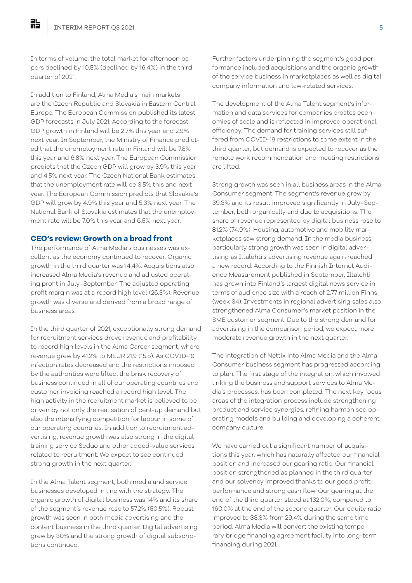In terms of volume, the total market for afternoon papers declined by 10.5% (declined by 16.4%) in the third quarter of 2021.

In addition to Finland, Alma Media's main markets are the Czech Republic and Slovakia in Eastern Central Europe. The European Commission published its latest GDP forecasts in July 2021. According to the forecast, GDP growth in Finland will be 2.7% this year and 2.9% next year. In September, the Ministry of Finance predicted that the unemployment rate in Finland will be 7.8% this year and 6.8% next year. The European Commission predicts that the Czech GDP will grow by 3.9% this year and 4.5% next year. The Czech National Bank estimates that the unemployment rate will be 3.5% this and next year. The European Commission predicts that Slovakia's GDP will grow by 4.9% this year and 5.3% next year. The National Bank of Slovakia estimates that the unemployment rate will be 7.0% this year and 6.5% next year.

#### **CEO's review: Growth on a broad front**

The performance of Alma Media's businesses was excellent as the economy continued to recover. Organic growth in the third quarter was 14.4%. Acquisitions also increased Alma Media's revenue and adjusted operating profit in July–September. The adjusted operating profit margin was at a record high level (26.3%). Revenue growth was diverse and derived from a broad range of business areas.

In the third quarter of 2021, exceptionally strong demand for recruitment services drove revenue and profitability to record high levels in the Alma Career segment, where revenue grew by 41.2% to MEUR 21.9 (15.5). As COVID-19 infection rates decreased and the restrictions imposed by the authorities were lifted, the brisk recovery of business continued in all of our operating countries and customer invoicing reached a record high level. The high activity in the recruitment market is believed to be driven by not only the realisation of pent-up demand but also the intensifying competition for labour in some of our operating countries. In addition to recruitment advertising, revenue growth was also strong in the digital training service Seduo and other added-value services related to recruitment. We expect to see continued strong growth in the next quarter.

In the Alma Talent segment, both media and service businesses developed in line with the strategy. The organic growth of digital business was 14% and its share of the segment's revenue rose to 57.2% (50.5%). Robust growth was seen in both media advertising and the content business in the third quarter. Digital advertising grew by 30% and the strong growth of digital subscriptions continued.

Further factors underpinning the segment's good performance included acquisitions and the organic growth of the service business in marketplaces as well as digital company information and law-related services.

The development of the Alma Talent segment's information and data services for companies creates economies of scale and is reflected in improved operational efficiency. The demand for training services still suffered from COVID-19 restrictions to some extent in the third quarter, but demand is expected to recover as the remote work recommendation and meeting restrictions are lifted.

Strong growth was seen in all business areas in the Alma Consumer segment. The segment's revenue grew by 39.3% and its result improved significantly in July–September, both organically and due to acquisitions. The share of revenue represented by digital business rose to 81.2% (74.9%). Housing, automotive and mobility marketplaces saw strong demand. In the media business, particularly strong growth was seen in digital advertising as Iltalehti's advertising revenue again reached a new record. According to the Finnish Internet Audience Measurement published in September, Iltalehti has grown into Finland's largest digital news service in terms of audience size with a reach of 2.77 million Finns (week 34). Investments in regional advertising sales also strengthened Alma Consumer's market position in the SME customer segment. Due to the strong demand for advertising in the comparison period, we expect more moderate revenue growth in the next quarter.

The integration of Nettix into Alma Media and the Alma Consumer business segment has progressed according to plan. The first stage of the integration, which involved linking the business and support services to Alma Media's processes, has been completed. The next key focus areas of the integration process include strengthening product and service synergies, refining harmonised operating models and building and developing a coherent company culture.

We have carried out a significant number of acquisitions this year, which has naturally affected our financial position and increased our gearing ratio. Our financial position strengthened as planned in the third quarter and our solvency improved thanks to our good profit performance and strong cash flow. Our gearing at the end of the third quarter stood at 132.0%, compared to 160.0% at the end of the second quarter. Our equity ratio improved to 33.3% from 29.4% during the same time period. Alma Media will convert the existing temporary bridge financing agreement facility into long-term financing during 2021.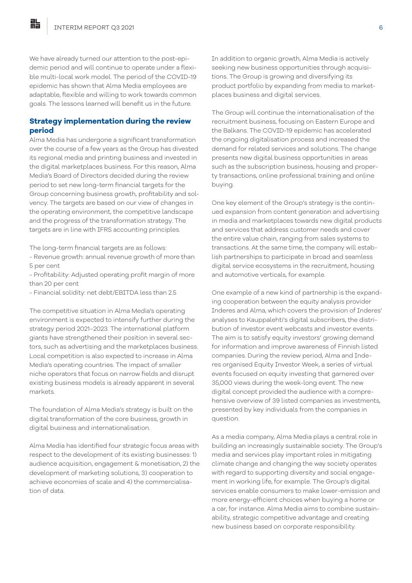We have already turned our attention to the post-epidemic period and will continue to operate under a flexible multi-local work model. The period of the COVID-19 epidemic has shown that Alma Media employees are adaptable, flexible and willing to work towards common goals. The lessons learned will benefit us in the future.

#### **Strategy implementation during the review period**

Alma Media has undergone a significant transformation over the course of a few years as the Group has divested its regional media and printing business and invested in the digital marketplaces business. For this reason, Alma Media's Board of Directors decided during the review period to set new long-term financial targets for the Group concerning business growth, profitability and solvency. The targets are based on our view of changes in the operating environment, the competitive landscape and the progress of the transformation strategy. The targets are in line with IFRS accounting principles.

The long-term financial targets are as follows:

- Revenue growth: annual revenue growth of more than 5 per cent
- Profitability: Adjusted operating profit margin of more than 20 per cent
- Financial solidity: net debt/EBITDA less than 2.5

The competitive situation in Alma Media's operating environment is expected to intensify further during the strategy period 2021–2023. The international platform giants have strengthened their position in several sectors, such as advertising and the marketplaces business. Local competition is also expected to increase in Alma Media's operating countries. The impact of smaller niche operators that focus on narrow fields and disrupt existing business models is already apparent in several markets.

The foundation of Alma Media's strategy is built on the digital transformation of the core business, growth in digital business and internationalisation.

Alma Media has identified four strategic focus areas with respect to the development of its existing businesses: 1) audience acquisition, engagement & monetisation, 2) the development of marketing solutions, 3) cooperation to achieve economies of scale and 4) the commercialisation of data.

In addition to organic growth, Alma Media is actively seeking new business opportunities through acquisitions. The Group is growing and diversifying its product portfolio by expanding from media to marketplaces business and digital services.

The Group will continue the internationalisation of the recruitment business, focusing on Eastern Europe and the Balkans. The COVID-19 epidemic has accelerated the ongoing digitalisation process and increased the demand for related services and solutions. The change presents new digital business opportunities in areas such as the subscription business, housing and property transactions, online professional training and online buying.

One key element of the Group's strategy is the continued expansion from content generation and advertising in media and marketplaces towards new digital products and services that address customer needs and cover the entire value chain, ranging from sales systems to transactions. At the same time, the company will establish partnerships to participate in broad and seamless digital service ecosystems in the recruitment, housing and automotive verticals, for example.

One example of a new kind of partnership is the expanding cooperation between the equity analysis provider Inderes and Alma, which covers the provision of Inderes' analyses to Kauppalehti's digital subscribers, the distribution of investor event webcasts and investor events. The aim is to satisfy equity investors' growing demand for information and improve awareness of Finnish listed companies. During the review period, Alma and Inderes organised Equity Investor Week, a series of virtual events focused on equity investing that garnered over 35,000 views during the week-long event. The new digital concept provided the audience with a comprehensive overview of 39 listed companies as investments, presented by key individuals from the companies in question.

As a media company, Alma Media plays a central role in building an increasingly sustainable society. The Group's media and services play important roles in mitigating climate change and changing the way society operates with regard to supporting diversity and social engagement in working life, for example. The Group's digital services enable consumers to make lower-emission and more energy-efficient choices when buying a home or a car, for instance. Alma Media aims to combine sustainability, strategic competitive advantage and creating new business based on corporate responsibility.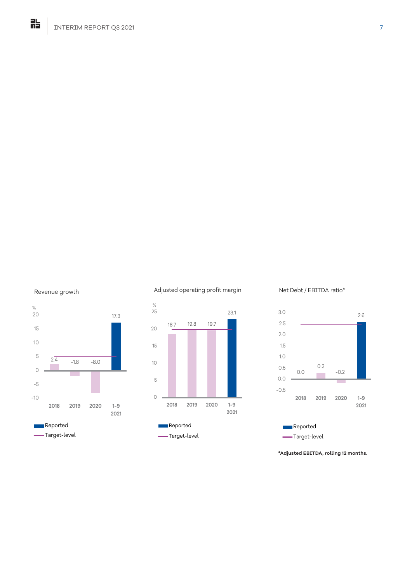



#### Adjusted operating profit margin



#### Net Debt / EBITDA ratio\*



**\*Adjusted EBITDA, rolling 12 months.**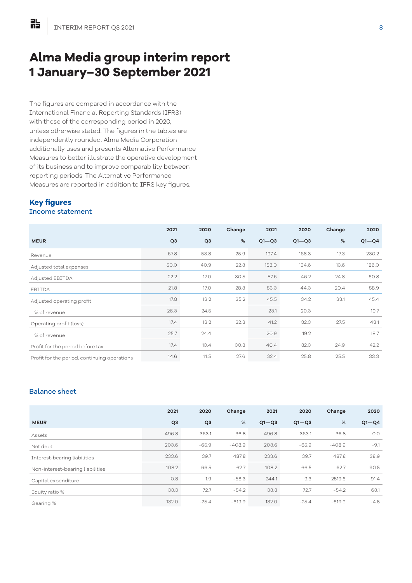# **Alma Media group interim report 1 January–30 September 2021**

The figures are compared in accordance with the International Financial Reporting Standards (IFRS) with those of the corresponding period in 2020, unless otherwise stated. The figures in the tables are independently rounded. Alma Media Corporation additionally uses and presents Alternative Performance Measures to better illustrate the operative development of its business and to improve comparability between reporting periods. The Alternative Performance Measures are reported in addition to IFRS key figures.

#### **Key figures** Income statement

|                                              | 2021           | 2020           | Change | 2021      | 2020      | Change | 2020      |
|----------------------------------------------|----------------|----------------|--------|-----------|-----------|--------|-----------|
| <b>MEUR</b>                                  | Q <sub>3</sub> | Q <sub>3</sub> | %      | $Q1 - Q3$ | $Q1 - Q3$ | %      | $Q1 - Q4$ |
| Revenue                                      | 67.8           | 53.8           | 25.9   | 197.4     | 168.3     | 17.3   | 230.2     |
| Adjusted total expenses                      | 50.0           | 40.9           | 22.3   | 153.0     | 134.6     | 13.6   | 186.0     |
| Adjusted EBITDA                              | 22.2           | <b>17.0</b>    | 30.5   | 57.6      | 46.2      | 24.8   | 60.8      |
| EBITDA                                       | 21.8           | <b>17.0</b>    | 28.3   | 53.3      | 44.3      | 20.4   | 58.9      |
| Adjusted operating profit                    | 17.8           | 13.2           | 35.2   | 45.5      | 34.2      | 33.1   | 45.4      |
| % of revenue                                 | 26.3           | 24.5           |        | 23.1      | 20.3      |        | 19.7      |
| Operating profit (loss)                      | 17.4           | 13.2           | 32.3   | 41.2      | 32.3      | 27.5   | 43.1      |
| % of revenue                                 | 25.7           | 24.4           |        | 20.9      | 19.2      |        | 18.7      |
| Profit for the period before tax             | 17.4           | 13.4           | 30.3   | 40.4      | 32.3      | 24.9   | 42.2      |
| Profit for the period, continuing operations | 14.6           | 11.5           | 27.6   | 32.4      | 25.8      | 25.5   | 33.3      |

# Balance sheet

|                                  | 2021           | 2020           | Change   | 2021      | 2020      | Change   | 2020      |
|----------------------------------|----------------|----------------|----------|-----------|-----------|----------|-----------|
| <b>MEUR</b>                      | Q <sub>3</sub> | Q <sub>3</sub> | %        | $Q1 - Q3$ | $Q1 - Q3$ | $\%$     | $Q1 - Q4$ |
| Assets                           | 496.8          | 363.1          | 36.8     | 496.8     | 363.1     | 36.8     | O.O       |
| Net debt                         | 203.6          | $-65.9$        | $-408.9$ | 203.6     | $-65.9$   | $-408.9$ | $-9.1$    |
| Interest-bearing liabilities     | 233.6          | 39.7           | 487.8    | 233.6     | 39.7      | 487.8    | 38.9      |
| Non-interest-bearing liabilities | 108.2          | 66.5           | 62.7     | 108.2     | 66.5      | 62.7     | 90.5      |
| Capital expenditure              | 0.8            | 1.9            | $-58.3$  | 244.1     | 9.3       | 2519.6   | 91.4      |
| Equity ratio %                   | 33.3           | 72.7           | $-54.2$  | 33.3      | 72.7      | $-54.2$  | 63.1      |
| Gearing %                        | 132.0          | $-25.4$        | $-619.9$ | 132.0     | $-25.4$   | $-619.9$ | $-4.5$    |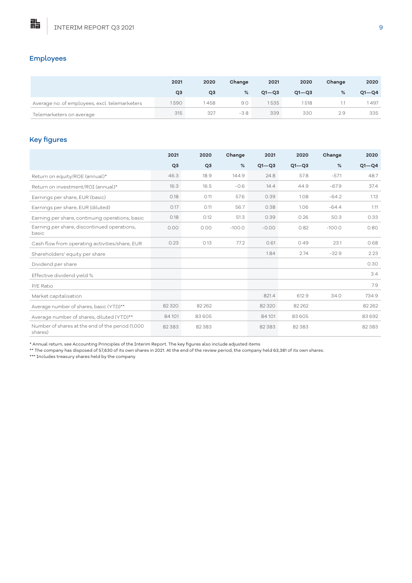# Employees

點

|                                               | 2021 | 2020 | Change | 2021      | 2020      | Change | 2020      |
|-----------------------------------------------|------|------|--------|-----------|-----------|--------|-----------|
|                                               | Q3   | QЗ   | %      | $Q1 - Q3$ | $O1 - O3$ | %      | $Q1 - Q4$ |
| Average no. of employees, excl. telemarketers | 1590 | 458  | 9.0    | 1535      | 1518      |        | 1497      |
| Telemarketers on average                      | 315  | 327  | $-3.8$ | 339       | 330       | 2.9    | 335       |

# Key figures

|                                                             | 2021           | 2020           | Change   | 2021      | 2020      | Change   | 2020      |
|-------------------------------------------------------------|----------------|----------------|----------|-----------|-----------|----------|-----------|
|                                                             | Q <sub>3</sub> | Q <sub>3</sub> | %        | $Q1 - Q3$ | $Q1 - Q3$ | %        | $Q1 - Q4$ |
| Return on equity/ROE (annual)*                              | 46.3           | 18.9           | 144.9    | 24.8      | 57.8      | $-57.1$  | 48.7      |
| Return on investment/ROI (annual)*                          | 16.3           | 16.5           | $-0.6$   | 14.4      | 44.9      | $-67.9$  | 37.4      |
| Earnings per share, EUR (basic)                             | 0.18           | O.11           | 57.6     | 0.39      | 1.08      | $-64.2$  | 1.13      |
| Earnings per share, EUR (diluted)                           | 0.17           | O.11           | 56.7     | 0.38      | 1.06      | $-64.4$  | 1.11      |
| Earning per share, continuing operations, basic             | 0.18           | 0.12           | 51.3     | 0.39      | 0.26      | 50.3     | 0.33      |
| Earning per share, discontinued operations,<br>basic        | 0.00           | 0.00           | $-100.0$ | $-0.00$   | 0.82      | $-100.0$ | 0.80      |
| Cash flow from operating activities/share, EUR              | 0.23           | 0.13           | 77.2     | 0.61      | 0.49      | 23.1     | 0.68      |
| Shareholders' equity per share                              |                |                |          | 1.84      | 2.74      | $-32.9$  | 2.23      |
| Dividend per share                                          |                |                |          |           |           |          | 0.30      |
| Effective dividend yield %                                  |                |                |          |           |           |          | 3.4       |
| P/E Ratio                                                   |                |                |          |           |           |          | 7.9       |
| Market capitalisation                                       |                |                |          | 821.4     | 612.9     | 34.0     | 734.9     |
| Average number of shares, basic (YTD)**                     | 82 3 2 0       | 82262          |          | 82 3 2 0  | 82 2 62   |          | 82 2 62   |
| Average number of shares, diluted (YTD)**                   | 84101          | 83 605         |          | 84101     | 83605     |          | 83 692    |
| Number of shares at the end of the period (1,000<br>shares) | 82 3 83        | 82 3 8 3       |          | 82383     | 82 3 8 3  |          | 82 3 83   |

\* Annual return, see Accounting Principles of the Interim Report. The key figures also include adjusted items

\*\* The company has disposed of 57,630 of its own shares in 2021. At the end of the review period, the company held 63,381 of its own shares.

\*\*\* Includes treasury shares held by the company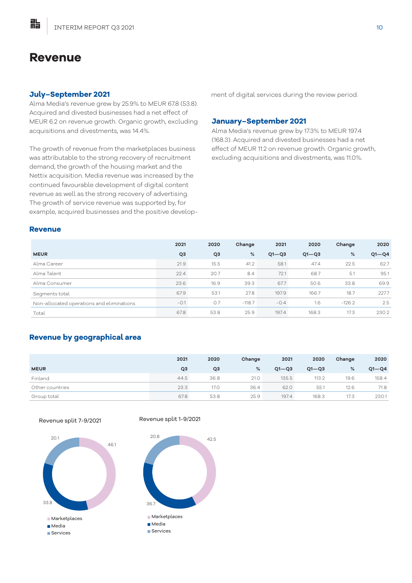# **Revenue**

點

#### **July–September 2021**

Alma Media's revenue grew by 25.9% to MEUR 67.8 (53.8). Acquired and divested businesses had a net effect of MEUR 6.2 on revenue growth. Organic growth, excluding acquisitions and divestments, was 14.4%.

The growth of revenue from the marketplaces business was attributable to the strong recovery of recruitment demand, the growth of the housing market and the Nettix acquisition. Media revenue was increased by the continued favourable development of digital content revenue as well as the strong recovery of advertising. The growth of service revenue was supported by, for example, acquired businesses and the positive development of digital services during the review period.

#### **January–September 2021**

Alma Media's revenue grew by 17.3% to MEUR 197.4 (168.3). Acquired and divested businesses had a net effect of MEUR 11.2 on revenue growth. Organic growth, excluding acquisitions and divestments, was 11.0%.

#### **Revenue**

|                                           | 2021           | 2020           | Change   | 2021      | 2020      | Change   | 2020      |
|-------------------------------------------|----------------|----------------|----------|-----------|-----------|----------|-----------|
| <b>MEUR</b>                               | Q <sub>3</sub> | Q <sub>3</sub> | %        | $Q1 - Q3$ | $Q1 - Q3$ | %        | $Q1 - Q4$ |
| Alma Career                               | 21.9           | 15.5           | 41.2     | 58.1      | 47.4      | 22.5     | 62.7      |
| Alma Talent                               | 22.4           | 20.7           | 8.4      | 72.1      | 68.7      | 5.1      | 95.1      |
| Alma Consumer                             | 23.6           | 16.9           | 39.3     | 67.7      | 50.6      | 33.8     | 69.9      |
| Segments total                            | 67.9           | 53.1           | 27.8     | 197.9     | 166.7     | 18.7     | 227.7     |
| Non-allocated operations and eliminations | $-0.1$         | O.7            | $-118.7$ | $-0.4$    | 1.6       | $-126.2$ | 2.5       |
| Total                                     | 67.8           | 53.8           | 25.9     | 197.4     | 168.3     | 17.3     | 230.2     |

# **Revenue by geographical area**

|                 | 2021 | 2020 | Change | 2021      | 2020      | Change | 2020      |
|-----------------|------|------|--------|-----------|-----------|--------|-----------|
| <b>MEUR</b>     | QЗ   | Q3   | %      | $Q1 - Q3$ | $Q1 - Q3$ | %      | $Q1 - Q4$ |
| Finland         | 44.5 | 36.8 | 21.0   | 135.5     | 113.2     | 19.6   | 158.4     |
| Other countries | 23.3 | 17.0 | 36.4   | 62.0      | 55.1      | 12.6   | 71.8      |
| Group total     | 67.8 | 53.8 | 25.9   | 197.4     | 168.3     | 17.3   | 230.1     |

42.5

Revenue split 7-9/2021



#### Revenue split 1-9/2021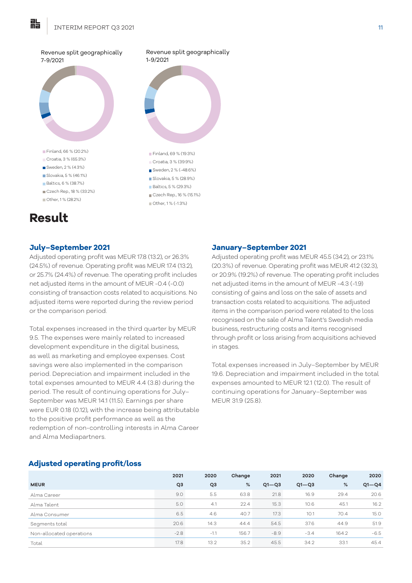

#### **July–September 2021**

Adjusted operating profit was MEUR 17.8 (13.2), or 26.3% (24.5%) of revenue. Operating profit was MEUR 17.4 (13.2), or 25.7% (24.4%) of revenue. The operating profit includes net adjusted items in the amount of MEUR -0.4 (-0.0) consisting of transaction costs related to acquisitions. No adjusted items were reported during the review period or the comparison period.

Total expenses increased in the third quarter by MEUR 9.5. The expenses were mainly related to increased development expenditure in the digital business, as well as marketing and employee expenses. Cost savings were also implemented in the comparison period. Depreciation and impairment included in the total expenses amounted to MEUR 4.4 (3.8) during the period. The result of continuing operations for July– September was MEUR 14.1 (11.5). Earnings per share were EUR 0.18 (0.12), with the increase being attributable to the positive profit performance as well as the redemption of non-controlling interests in Alma Career and Alma Mediapartners.

#### **January–September 2021**

Adjusted operating profit was MEUR 45.5 (34.2), or 23.1% (20.3%) of revenue. Operating profit was MEUR 41.2 (32.3), or 20.9% (19.2%) of revenue. The operating profit includes net adjusted items in the amount of MEUR -4.3 (-1.9) consisting of gains and loss on the sale of assets and transaction costs related to acquisitions. The adjusted items in the comparison period were related to the loss recognised on the sale of Alma Talent's Swedish media business, restructuring costs and items recognised through profit or loss arising from acquisitions achieved in stages.

Total expenses increased in July–September by MEUR 19.6. Depreciation and impairment included in the total expenses amounted to MEUR 12.1 (12.0). The result of continuing operations for January–September was MEUR 31.9 (25.8).

#### **Adjusted operating profit/loss**

|                          | 2021           | 2020           | Change | 2021      | 2020      | Change | 2020      |
|--------------------------|----------------|----------------|--------|-----------|-----------|--------|-----------|
| <b>MEUR</b>              | Q <sub>3</sub> | Q <sub>3</sub> | $\%$   | $Q1 - Q3$ | $Q1 - Q3$ | %      | $Q1 - Q4$ |
| Alma Career              | 9.0            | 5.5            | 63.8   | 21.8      | 16.9      | 29.4   | 20.6      |
| Alma Talent              | 5.0            | 4.1            | 22.4   | 15.3      | 10.6      | 45.1   | 16.2      |
| Alma Consumer            | 6.5            | 4.6            | 40.7   | 17.3      | 10.1      | 70.4   | 15.0      |
| Segments total           | 20.6           | 14.3           | 44.4   | 54.5      | 37.6      | 44.9   | 51.9      |
| Non-allocated operations | $-2.8$         | $-1.1$         | 156.7  | $-8.9$    | $-3.4$    | 164.2  | $-6.5$    |
| Total                    | 17.8           | 13.2           | 35.2   | 45.5      | 34.2      | 33.1   | 45.4      |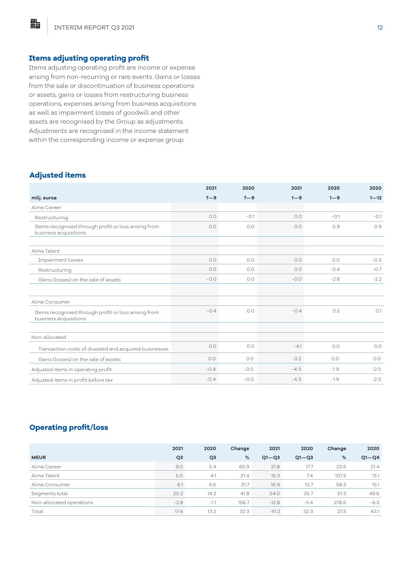#### **Items adjusting operating profit**

Items adjusting operating profit are income or expense arising from non-recurring or rare events. Gains or losses from the sale or discontinuation of business operations or assets, gains or losses from restructuring business operations, expenses arising from business acquisitions as well as impairment losses of goodwill and other assets are recognised by the Group as adjustments. Adjustments are recognised in the income statement within the corresponding income or expense group.

#### **Adjusted items**

胋

|                                                                               | 2021    | 2020    | 2021    | 2020    | 2020     |
|-------------------------------------------------------------------------------|---------|---------|---------|---------|----------|
| milj. euroa                                                                   | $7 - 9$ | $7 - 9$ | $1 - 9$ | $1 - 9$ | $1 - 12$ |
| Alma Career                                                                   |         |         |         |         |          |
| Restructuring                                                                 | O.O     | $-0.1$  | 0.0     | $-0.1$  | $-0.1$   |
| Items recognised through profit or loss arising from<br>business acquisitions | 0.0     | 0.0     | 0.0     | 0.9     | 0.9      |
| Alma Talent                                                                   |         |         |         |         |          |
| Impairment losses                                                             | 0.0     | 0.0     | 0.0     | O.O     | $-0.3$   |
|                                                                               |         |         |         |         |          |
| Restructuring                                                                 | 0.0     | 0.0     | 0.0     | $-0.4$  | $-0.7$   |
| Gains (losses) on the sale of assets                                          | $-0.0$  | O.O     | $-0.0$  | $-2.8$  | $-2.2$   |
| Alma Consumer                                                                 |         |         |         |         |          |
| Items recognised through profit or loss arising from<br>business acquisitions | $-0.4$  | 0.0     | $-0.4$  | 0.5     | O.1      |
|                                                                               |         |         |         |         |          |
| Non-allocated                                                                 |         |         |         |         |          |
| Transaction costs of divested and acquired businesses                         | 0.0     | O.O     | $-4.1$  | O.O     | 0.0      |
| Gains (losses) on the sale of assets                                          | 0.0     | O.O     | 0.2     | 0.0     | O.O      |
| Adjusted items in operating profit                                            | $-0.4$  | $-0.0$  | $-4.3$  | $-1.9$  | $-2.3$   |
| Adjusted items in profit before tax                                           | $-0.4$  | $-0.0$  | $-4.3$  | $-1.9$  | $-2.3$   |

## **Operating profit/loss**

|                          | 2021           | 2020           | Change | 2021      | 2020      | Change | 2020      |
|--------------------------|----------------|----------------|--------|-----------|-----------|--------|-----------|
| <b>MEUR</b>              | Q <sub>3</sub> | Q <sub>3</sub> | %      | $Q1 - Q3$ | $Q1 - Q3$ | %      | $Q1 - Q4$ |
| Alma Career              | 9.0            | 5.4            | 65.9   | 21.8      | 17.7      | 23.6   | 21.4      |
| Alma Talent              | 5.0            | 4.1            | 21.4   | 15.3      | 7.4       | 107.5  | 13.1      |
| Alma Consumer            | 6.1            | 4.6            | 31.7   | 16.9      | 10.7      | 58.3   | 15.1      |
| Segments total           | 20.2           | 14.2           | 41.8   | 54.0      | 35.7      | 51.3   | 49.6      |
| Non-allocated operations | $-2.8$         | $-1.1$         | 156.7  | $-12.8$   | $-3.4$    | 278.6  | $-6.5$    |
| Total                    | 17.4           | 13.2           | 32.3   | 41.2      | 32.3      | 27.5   | 43.1      |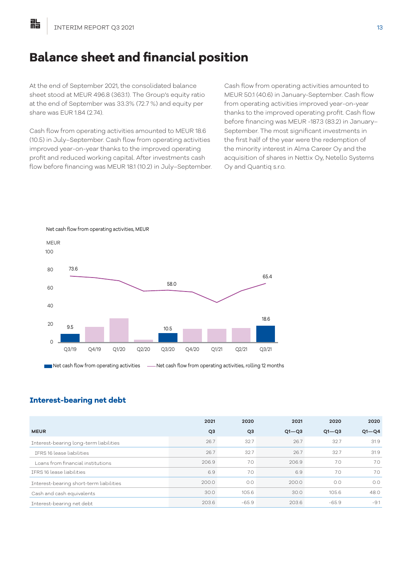# **Balance sheet and financial position**

At the end of September 2021, the consolidated balance sheet stood at MEUR 496.8 (363.1). The Group's equity ratio at the end of September was 33.3% (72.7 %) and equity per share was EUR 1.84 (2.74).

Cash flow from operating activities amounted to MEUR 18.6 (10.5) in July–September. Cash flow from operating activities improved year-on-year thanks to the improved operating profit and reduced working capital. After investments cash flow before financing was MEUR 18.1 (10.2) in July–September. Cash flow from operating activities amounted to MEUR 50.1 (40.6) in January-September. Cash flow from operating activities improved year-on-year thanks to the improved operating profit. Cash flow before financing was MEUR -187.3 (83.2) in January– September. The most significant investments in the first half of the year were the redemption of the minority interest in Alma Career Oy and the acquisition of shares in Nettix Oy, Netello Systems Oy and Quantiq s.r.o.



#### Net cash flow from operating activities, MEUR

#### **Interest-bearing net debt**

|                                         | 2021           | 2020           | 2021      | 2020      | 2020      |
|-----------------------------------------|----------------|----------------|-----------|-----------|-----------|
| <b>MEUR</b>                             | Q <sub>3</sub> | Q <sub>3</sub> | $Q1 - Q3$ | $Q1 - Q3$ | $Q1 - Q4$ |
| Interest-bearing long-term liabilities  | 26.7           | 32.7           | 26.7      | 32.7      | 31.9      |
| IFRS 16 lease liabilities               | 26.7           | 32.7           | 26.7      | 32.7      | 31.9      |
| Loans from financial institutions       | 206.9          | 7.0            | 206.9     | 7.0       | 7.0       |
| TERS 16 lease liabilities               | 6.9            | 7.0            | 6.9       | 7.0       | 7.0       |
| Interest-bearing short-term liabilities | 200.0          | 0.0            | 200.0     | 0.0       | O.O       |
| Cash and cash equivalents               | 30.0           | 105.6          | 30.0      | 105.6     | 48.0      |
| Interest-bearing net debt               | 203.6          | $-65.9$        | 203.6     | $-65.9$   | $-9.1$    |
|                                         |                |                |           |           |           |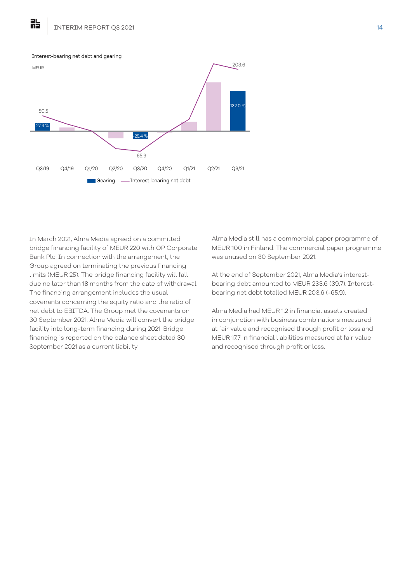

In March 2021, Alma Media agreed on a committed bridge financing facility of MEUR 220 with OP Corporate Bank Plc. In connection with the arrangement, the Group agreed on terminating the previous financing limits (MEUR 25). The bridge financing facility will fall due no later than 18 months from the date of withdrawal. The financing arrangement includes the usual covenants concerning the equity ratio and the ratio of net debt to EBITDA. The Group met the covenants on 30 September 2021. Alma Media will convert the bridge facility into long-term financing during 2021. Bridge financing is reported on the balance sheet dated 30 September 2021 as a current liability.

Alma Media still has a commercial paper programme of MEUR 100 in Finland. The commercial paper programme was unused on 30 September 2021.

At the end of September 2021, Alma Media's interestbearing debt amounted to MEUR 233.6 (39.7). Interestbearing net debt totalled MEUR 203.6 (-65.9).

Alma Media had MEUR 1.2 in financial assets created in conjunction with business combinations measured at fair value and recognised through profit or loss and MEUR 17.7 in financial liabilities measured at fair value and recognised through profit or loss.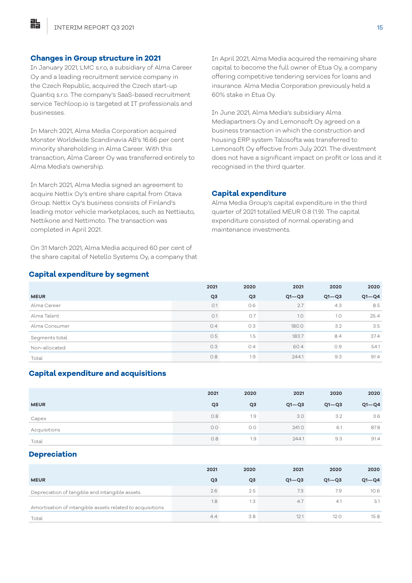貼

#### **Changes in Group structure in 2021**

In January 2021, LMC s.r.o, a subsidiary of Alma Career Oy and a leading recruitment service company in the Czech Republic, acquired the Czech start-up Quantiq s.r.o. The company's SaaS-based recruitment service Techloop.io is targeted at IT professionals and businesses.

In March 2021, Alma Media Corporation acquired Monster Worldwide Scandinavia AB's 16.66 per cent minority shareholding in Alma Career. With this transaction, Alma Career Oy was transferred entirely to Alma Media's ownership.

In March 2021, Alma Media signed an agreement to acquire Nettix Oy's entire share capital from Otava Group. Nettix Oy's business consists of Finland's leading motor vehicle marketplaces, such as Nettiauto, Nettikone and Nettimoto. The transaction was completed in April 2021.

On 31 March 2021, Alma Media acquired 60 per cent of the share capital of Netello Systems Oy, a company that In April 2021, Alma Media acquired the remaining share capital to become the full owner of Etua Oy, a company offering competitive tendering services for loans and insurance. Alma Media Corporation previously held a 60% stake in Etua Oy.

In June 2021, Alma Media's subsidiary Alma Mediapartners Oy and Lemonsoft Oy agreed on a business transaction in which the construction and housing ERP system Talosofta was transferred to Lemonsoft Oy effective from July 2021. The divestment does not have a significant impact on profit or loss and it recognised in the third quarter.

#### **Capital expenditure**

Alma Media Group's capital expenditure in the third quarter of 2021 totalled MEUR 0.8 (1.9). The capital expenditure consisted of normal operating and maintenance investments.

#### **Capital expenditure by segment**

|                | 2021           | 2020           | 2021      | 2020      | 2020      |
|----------------|----------------|----------------|-----------|-----------|-----------|
| <b>MEUR</b>    | Q <sub>3</sub> | Q <sub>3</sub> | $Q1 - Q3$ | $Q1 - Q3$ | $Q1 - Q4$ |
| Alma Career    | O.1            | 0.6            | 2.7       | 4.3       | 8.5       |
| Alma Talent    | O.1            | O.7            | 1.0       | 1.0       | 25.4      |
| Alma Consumer  | 0.4            | 0.3            | 180.0     | 3.2       | 3.5       |
| Segments total | 0.5            | 1.5            | 183.7     | 8.4       | 37.4      |
| Non-allocated  | 0.3            | 0.4            | 60.4      | 0.9       | 54.1      |
| Total          | 0.8            | 1.9            | 244.1     | 9.3       | 91.4      |

#### **Capital expenditure and acquisitions**

|              | 2021           | 2020           | 2021      | 2020      | 2020      |
|--------------|----------------|----------------|-----------|-----------|-----------|
| <b>MEUR</b>  | Q <sub>3</sub> | Q <sub>3</sub> | $Q1 - Q3$ | $Q1 - Q3$ | $Q1 - Q4$ |
| Capex        | 0.8            | 1.9            | 3.0       | 3.2       | 3.6       |
| Acquisitions | 0.0            | 0.0            | 241.0     | 6.1       | 87.8      |
| Total        | 0.8            | 1.9            | 244.1     | 9.3       | 91.4      |

#### **Depreciation**

|                                                           | 2021           | 2020           | 2021      | 2020      | 2020      |
|-----------------------------------------------------------|----------------|----------------|-----------|-----------|-----------|
| <b>MEUR</b>                                               | Q <sub>3</sub> | Q <sub>3</sub> | $Q1 - Q3$ | $Q1 - Q3$ | $Q1 - Q4$ |
| Depreciation of tangible and intangible assets            | 2.6            | 2.5            | 7.3       | 7.9       | 10.6      |
| Amortisation of intangible assets related to acquisitions | 1.8            | 1.3            | 47        | 4.1       | -5.1      |
| Total                                                     | 4.4            | 3.8            | 12.1      | 12.0      | 15.8      |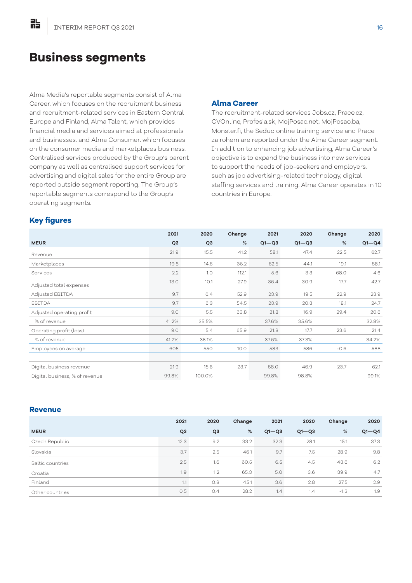# **Business segments**

Alma Media's reportable segments consist of Alma Career, which focuses on the recruitment business and recruitment-related services in Eastern Central Europe and Finland, Alma Talent, which provides financial media and services aimed at professionals and businesses, and Alma Consumer, which focuses on the consumer media and marketplaces business. Centralised services produced by the Group's parent company as well as centralised support services for advertising and digital sales for the entire Group are reported outside segment reporting. The Group's reportable segments correspond to the Group's operating segments.

#### **Alma Career**

The recruitment-related services Jobs.cz, Prace.cz, CVOnline, Profesia.sk, MojPosao.net, MojPosao.ba, Monster.fi, the Seduo online training service and Prace za rohem are reported under the Alma Career segment. In addition to enhancing job advertising, Alma Career's objective is to expand the business into new services to support the needs of job-seekers and employers, such as job advertising-related technology, digital staffing services and training. Alma Career operates in 10 countries in Europe.

#### **Key figures**

點

|                                | 2021           | 2020           | Change | 2021      | 2020      | Change | 2020      |
|--------------------------------|----------------|----------------|--------|-----------|-----------|--------|-----------|
| <b>MEUR</b>                    | Q <sub>3</sub> | Q <sub>3</sub> | %      | $Q1 - Q3$ | $Q1 - Q3$ | %      | $Q1 - Q4$ |
| Revenue                        | 21.9           | 15.5           | 41.2   | 58.1      | 47.4      | 22.5   | 62.7      |
| Marketplaces                   | 19.8           | 14.5           | 36.2   | 52.5      | 44.1      | 19.1   | 58.1      |
| Services                       | 2.2            | 1.0            | 112.1  | 5.6       | 3.3       | 68.0   | 4.6       |
| Adjusted total expenses        | 13.0           | 10.1           | 27.9   | 36.4      | 30.9      | 17.7   | 42.7      |
| Adjusted EBITDA                | 9.7            | 6.4            | 52.9   | 23.9      | 19.5      | 22.9   | 23.9      |
| EBITDA                         | 9.7            | 6.3            | 54.5   | 23.9      | 20.3      | 18.1   | 24.7      |
| Adjusted operating profit      | 9.0            | 5.5            | 63.8   | 21.8      | 16.9      | 29.4   | 20.6      |
| % of revenue                   | 41.2%          | 35.5%          |        | 37.6%     | 35.6%     |        | 32.8%     |
| Operating profit (loss)        | 9.0            | 5.4            | 65.9   | 21.8      | 17.7      | 23.6   | 21.4      |
| % of revenue                   | 41.2%          | 35.1%          |        | 37.6%     | 37.3%     |        | 34.2%     |
| Employees on average           | 605            | 550            | 10.0   | 583       | 586       | $-0.6$ | 588       |
|                                |                |                |        |           |           |        |           |
| Digital business revenue       | 21.9           | 15.6           | 23.7   | 58.0      | 46.9      | 23.7   | 62.1      |
| Digital business, % of revenue | 99.8%          | 100.0%         |        | 99.8%     | 98.8%     |        | 99.1%     |

#### **Revenue**

|                         | 2021           | 2020           | Change | 2021      | 2020      | Change | 2020      |
|-------------------------|----------------|----------------|--------|-----------|-----------|--------|-----------|
| <b>MEUR</b>             | Q <sub>3</sub> | Q <sub>3</sub> | %      | $Q1 - Q3$ | $Q1 - Q3$ | %      | $Q1 - Q4$ |
| Czech Republic          | 12.3           | 9.2            | 33.2   | 32.3      | 28.1      | 15.1   | 37.3      |
| Slovakia                | 3.7            | 2.5            | 46.1   | 9.7       | 7.5       | 28.9   | 9.8       |
| <b>Baltic countries</b> | 2.5            | 1.6            | 60.5   | 6.5       | 4.5       | 43.6   | 6.2       |
| Croatia                 | 1.9            | 1.2            | 65.3   | 5.0       | 3.6       | 39.9   | 4.7       |
| Finland                 | 1.1            | 0.8            | 45.1   | 3.6       | 2.8       | 27.5   | 2.9       |
| Other countries         | 0.5            | 0.4            | 28.2   | 1.4       | 1.4       | $-1.3$ | 1.9       |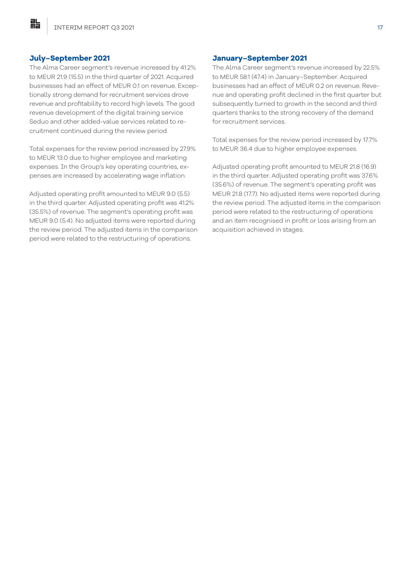#### **July–September 2021**

貼

The Alma Career segment's revenue increased by 41.2% to MEUR 21.9 (15.5) in the third quarter of 2021. Acquired businesses had an effect of MEUR 0.1 on revenue. Exceptionally strong demand for recruitment services drove revenue and profitability to record high levels. The good revenue development of the digital training service Seduo and other added-value services related to recruitment continued during the review period.

Total expenses for the review period increased by 27.9% to MEUR 13.0 due to higher employee and marketing expenses. In the Group's key operating countries, expenses are increased by accelerating wage inflation.

Adjusted operating profit amounted to MEUR 9.0 (5.5) in the third quarter. Adjusted operating profit was 41.2% (35.5%) of revenue. The segment's operating profit was MEUR 9.0 (5.4). No adjusted items were reported during the review period. The adjusted items in the comparison period were related to the restructuring of operations.

#### **January–September 2021**

The Alma Career segment's revenue increased by 22.5% to MEUR 58.1 (47.4) in January–September. Acquired businesses had an effect of MEUR 0.2 on revenue. Revenue and operating profit declined in the first quarter but subsequently turned to growth in the second and third quarters thanks to the strong recovery of the demand for recruitment services.

Total expenses for the review period increased by 17.7% to MEUR 36.4 due to higher employee expenses.

Adjusted operating profit amounted to MEUR 21.8 (16.9) in the third quarter. Adjusted operating profit was 37.6% (35.6%) of revenue. The segment's operating profit was MEUR 21.8 (17.7). No adjusted items were reported during the review period. The adjusted items in the comparison period were related to the restructuring of operations and an item recognised in profit or loss arising from an acquisition achieved in stages.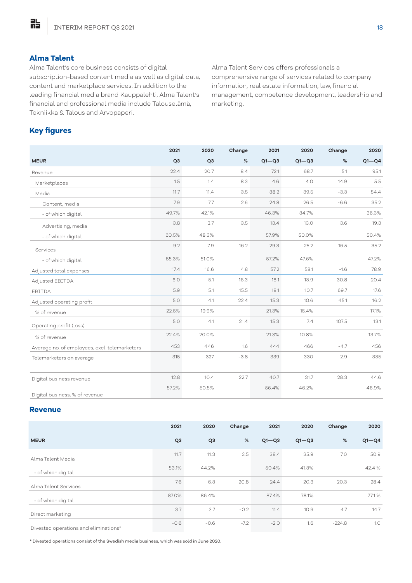# **Alma Talent**

胋

Alma Talent's core business consists of digital subscription-based content media as well as digital data, content and marketplace services. In addition to the leading financial media brand Kauppalehti, Alma Talent's financial and professional media include Talouselämä, Tekniikka & Talous and Arvopaperi.

Alma Talent Services offers professionals a comprehensive range of services related to company information, real estate information, law, financial management, competence development, leadership and marketing.

# **Key figures**

|                                               | 2021           | 2020           | Change | 2021      | 2020      | Change | 2020      |
|-----------------------------------------------|----------------|----------------|--------|-----------|-----------|--------|-----------|
| <b>MEUR</b>                                   | Q <sub>3</sub> | Q <sub>3</sub> | $\%$   | $Q1 - Q3$ | $Q1 - Q3$ | $\%$   | $Q1 - Q4$ |
| Revenue                                       | 22.4           | 20.7           | 8.4    | 72.1      | 68.7      | 5.1    | 95.1      |
| Marketplaces                                  | 1.5            | 1.4            | 8.3    | 4.6       | 4.0       | 14.9   | 5.5       |
| Media                                         | 11.7           | 11.4           | 3.5    | 38.2      | 39.5      | $-3.3$ | 54.4      |
| Content, media                                | 7.9            | 7.7            | 2.6    | 24.8      | 26.5      | $-6.6$ | 35.2      |
| - of which digital                            | 49.7%          | 42.1%          |        | 46.3%     | 34.7%     |        | 36.3%     |
| Advertising, media                            | 3.8            | 3.7            | 3.5    | 13.4      | 13.0      | 3.6    | 19.3      |
| - of which digital                            | 60.5%          | 48.3%          |        | 57.9%     | 50.0%     |        | 50.4%     |
| Services                                      | 9.2            | 7.9            | 16.2   | 29.3      | 25.2      | 16.5   | 35.2      |
| - of which digital                            | 55.3%          | 51.0%          |        | 57.2%     | 47.6%     |        | 47.2%     |
| Adjusted total expenses                       | 17.4           | 16.6           | 4.8    | 57.2      | 58.1      | $-1.6$ | 78.9      |
| Adjusted EBITDA                               | 6.0            | 5.1            | 16.3   | 18.1      | 13.9      | 30.8   | 20.4      |
| EBITDA                                        | 5.9            | 5.1            | 15.5   | 18.1      | 10.7      | 69.7   | 17.6      |
| Adjusted operating profit                     | 5.0            | 4.1            | 22.4   | 15.3      | 10.6      | 45.1   | 16.2      |
| % of revenue                                  | 22.5%          | 19.9%          |        | 21.3%     | 15.4%     |        | 17.1%     |
| Operating profit (loss)                       | 5.0            | 4.1            | 21.4   | 15.3      | 7.4       | 107.5  | 13.1      |
| % of revenue                                  | 22.4%          | 20.0%          |        | 21.3%     | 10.8%     |        | 13.7%     |
| Average no. of employees, excl. telemarketers | 453            | 446            | 1.6    | 444       | 466       | $-4.7$ | 456       |
| Telemarketers on average                      | 315            | 327            | $-3.8$ | 339       | 330       | 2.9    | 335       |
|                                               |                |                |        |           |           |        |           |
| Digital business revenue                      | 12.8           | 10.4           | 22.7   | 40.7      | 31.7      | 28.3   | 44.6      |
| Digital business, % of revenue                | 57.2%          | 50.5%          |        | 56.4%     | 46.2%     |        | 46.9%     |

#### **Revenue**

|                                       | 2021           | 2020           | Change | 2021      | 2020      | Change   | 2020      |
|---------------------------------------|----------------|----------------|--------|-----------|-----------|----------|-----------|
| <b>MEUR</b>                           | Q <sub>3</sub> | Q <sub>3</sub> | %      | $Q1 - Q3$ | $Q1 - Q3$ | %        | $Q1 - Q4$ |
| Alma Talent Media                     | 11.7           | 11.3           | 3.5    | 38.4      | 35.9      | 7.0      | 50.9      |
| - of which digital                    | 53.1%          | 44.2%          |        | 50.4%     | 41.3%     |          | 42.4 %    |
| Alma Talent Services                  | 7.6            | 6.3            | 20.8   | 24.4      | 20.3      | 20.3     | 28.4      |
| - of which digital                    | 87.0%          | 86.4%          |        | 87.4%     | 78.1%     |          | 77.1%     |
| Direct marketing                      | 3.7            | 3.7            | $-0.2$ | 11.4      | 10.9      | 4.7      | 14.7      |
| Divested operations and eliminations* | $-0.6$         | $-0.6$         | $-7.2$ | $-2.0$    | 1.6       | $-224.8$ | 1.0       |

\* Divested operations consist of the Swedish media business, which was sold in June 2020.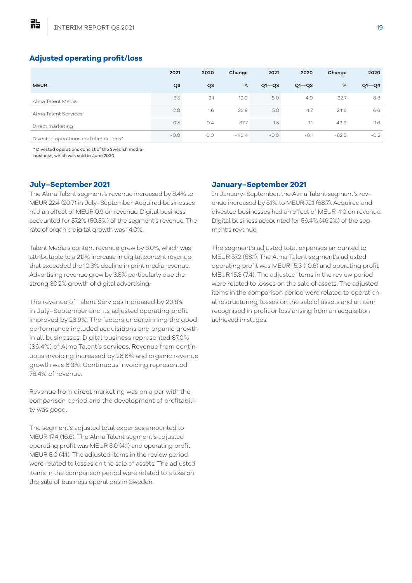詐

# **Adjusted operating profit/loss**

|                                       | 2021           | 2020           | Change   | 2021      | 2020      | Change  | 2020      |
|---------------------------------------|----------------|----------------|----------|-----------|-----------|---------|-----------|
| <b>MEUR</b>                           | Q <sub>3</sub> | Q <sub>3</sub> | %        | $Q1 - Q3$ | $Q1 - Q3$ | %       | $Q1 - Q4$ |
| Alma Talent Media                     | 2.5            | 2.1            | 19.0     | 8.0       | 4.9       | 62.7    | 8.3       |
| Alma Talent Services                  | 2.0            | 1.6            | 23.9     | 5.8       | 4.7       | 24.6    | 6.6       |
| Direct marketing                      | O.5            | 0.4            | 37.7     | 1.5       | 1.1       | 43.9    | 1.6       |
| Divested operations and eliminations* | $-0.0$         | O.O            | $-113.4$ | $-0.0$    | $-0.1$    | $-82.5$ | $-0.2$    |

\* Divested operations consist of the Swedish media-

business, which was sold in June 2020.

## **July–September 2021**

The Alma Talent segment's revenue increased by 8.4% to MEUR 22.4 (20.7) in July–September. Acquired businesses had an effect of MEUR 0.9 on revenue. Digital business accounted for 57.2% (50.5%) of the segment's revenue. The rate of organic digital growth was 14.0%.

Talent Media's content revenue grew by 3.0%, which was attributable to a 21.1% increase in digital content revenue that exceeded the 10.3% decline in print media revenue. Advertising revenue grew by 3.8% particularly due the strong 30.2% growth of digital advertising.

The revenue of Talent Services increased by 20.8% in July–September and its adjusted operating profit improved by 23.9%. The factors underpinning the good performance included acquisitions and organic growth in all businesses. Digital business represented 87.0% (86.4%) of Alma Talent's services. Revenue from continuous invoicing increased by 26.6% and organic revenue growth was 6.3%. Continuous invoicing represented 76.4% of revenue.

Revenue from direct marketing was on a par with the comparison period and the development of profitability was good.

The segment's adjusted total expenses amounted to MEUR 17.4 (16.6). The Alma Talent segment's adjusted operating profit was MEUR 5.0 (4.1) and operating profit MEUR 5.0 (4.1). The adjusted items in the review period were related to losses on the sale of assets. The adjusted items in the comparison period were related to a loss on the sale of business operations in Sweden.

#### **January–September 2021**

In January–September, the Alma Talent segment's revenue increased by 5.1% to MEUR 72.1 (68.7). Acquired and divested businesses had an effect of MEUR -1.0 on revenue. Digital business accounted for 56.4% (46.2%) of the segment's revenue.

The segment's adjusted total expenses amounted to MEUR 57.2 (58.1). The Alma Talent segment's adjusted operating profit was MEUR 15.3 (10.6) and operating profit MEUR 15.3 (7.4). The adjusted items in the review period were related to losses on the sale of assets. The adjusted items in the comparison period were related to operational restructuring, losses on the sale of assets and an item recognised in profit or loss arising from an acquisition achieved in stages.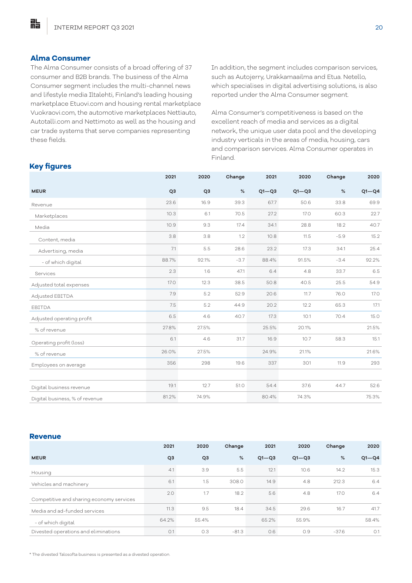### **Alma Consumer**

點

The Alma Consumer consists of a broad offering of 37 consumer and B2B brands. The business of the Alma Consumer segment includes the multi-channel news and lifestyle media Iltalehti, Finland's leading housing marketplace Etuovi.com and housing rental marketplace Vuokraovi.com, the automotive marketplaces Nettiauto, Autotalli.com and Nettimoto as well as the housing and car trade systems that serve companies representing these fields.

In addition, the segment includes comparison services, such as Autojerry, Urakkamaailma and Etua. Netello, which specialises in digital advertising solutions, is also reported under the Alma Consumer segment.

Alma Consumer's competitiveness is based on the excellent reach of media and services as a digital network, the unique user data pool and the developing industry verticals in the areas of media, housing, cars and comparison services. Alma Consumer operates in Finland.

# **Key figures**

|                                | 2021           | 2020           | Change | 2021      | 2020      | Change | 2020      |
|--------------------------------|----------------|----------------|--------|-----------|-----------|--------|-----------|
| <b>MEUR</b>                    | Q <sub>3</sub> | Q <sub>3</sub> | %      | $Q1 - Q3$ | $Q1 - Q3$ | %      | $Q1 - Q4$ |
| Revenue                        | 23.6           | 16.9           | 39.3   | 67.7      | 50.6      | 33.8   | 69.9      |
| Marketplaces                   | 10.3           | 6.1            | 70.5   | 27.2      | 17.0      | 60.3   | 22.7      |
| Media                          | 10.9           | 9.3            | 17.4   | 34.1      | 28.8      | 18.2   | 40.7      |
| Content, media                 | 3.8            | 3.8            | 1.2    | 10.8      | 11.5      | $-5.9$ | 15.2      |
| Advertising, media             | 7.1            | 5.5            | 28.6   | 23.2      | 17.3      | 34.1   | 25.4      |
| - of which digital             | 88.7%          | 92.1%          | $-3.7$ | 88.4%     | 91.5%     | $-3.4$ | 92.2%     |
| Services                       | 2.3            | 1.6            | 47.1   | 6.4       | 4.8       | 33.7   | 6.5       |
| Adjusted total expenses        | <b>17.0</b>    | 12.3           | 38.5   | 50.8      | 40.5      | 25.5   | 54.9      |
| Adjusted EBITDA                | 7.9            | 5.2            | 52.9   | 20.6      | 11.7      | 76.0   | 17.0      |
| EBITDA                         | 7.5            | 5.2            | 44.9   | 20.2      | 12.2      | 65.3   | 17.1      |
| Adjusted operating profit      | 6.5            | 4.6            | 40.7   | 17.3      | 10.1      | 70.4   | 15.0      |
| % of revenue                   | 27.8%          | 27.5%          |        | 25.5%     | 20.1%     |        | 21.5%     |
| Operating profit (loss)        | 6.1            | 4.6            | 31.7   | 16.9      | 10.7      | 58.3   | 15.1      |
| % of revenue                   | 26.0%          | 27.5%          |        | 24.9%     | 21.1%     |        | 21.6%     |
| Employees on average           | 356            | 298            | 19.6   | 337       | 301       | 11.9   | 293       |
|                                |                |                |        |           |           |        |           |
| Digital business revenue       | 19.1           | 12.7           | 51.0   | 54.4      | 37.6      | 44.7   | 52.6      |
| Digital business, % of revenue | 81.2%          | 74.9%          |        | 80.4%     | 74.3%     |        | 75.3%     |

#### **Revenue**

|                                          | 2021           | 2020           | Change  | 2021      | 2020      | Change  | 2020      |
|------------------------------------------|----------------|----------------|---------|-----------|-----------|---------|-----------|
| <b>MEUR</b>                              | Q <sub>3</sub> | Q <sub>3</sub> | %       | $Q1 - Q3$ | $Q1 - Q3$ | %       | $Q1 - Q4$ |
| Housing                                  | 4.1            | 3.9            | 5.5     | 12.1      | 10.6      | 14.2    | 15.3      |
| Vehicles and machinery                   | 6.1            | 1.5            | 308.0   | 14.9      | 4.8       | 212.3   | 6.4       |
| Competitive and sharing economy services | 2.0            | 1.7            | 18.2    | 5.6       | 4.8       | 17.0    | 6.4       |
| Media and ad-funded services             | 11.3           | 9.5            | 18.4    | 34.5      | 29.6      | 16.7    | 41.7      |
| - of which digital                       | 64.2%          | 55.4%          |         | 65.2%     | 55.9%     |         | 58.4%     |
| Divested operations and eliminations     | O.1            | O.3            | $-81.3$ | O.6       | 0.9       | $-37.6$ | O.1       |

\* The divested Talosofta business is presented as a divested operation.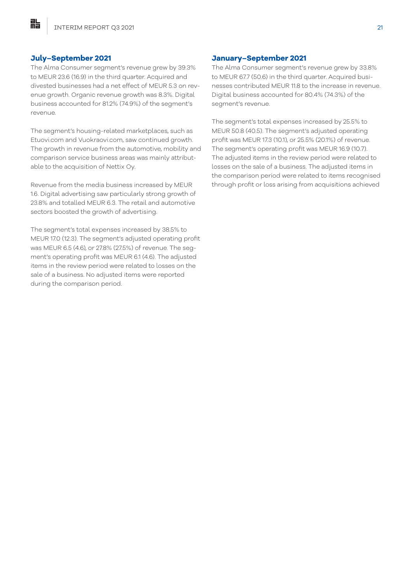#### **July–September 2021**

貼

The Alma Consumer segment's revenue grew by 39.3% to MEUR 23.6 (16.9) in the third quarter. Acquired and divested businesses had a net effect of MEUR 5.3 on revenue growth. Organic revenue growth was 8.3%. Digital business accounted for 81.2% (74.9%) of the segment's revenue.

The segment's housing-related marketplaces, such as Etuovi.com and Vuokraovi.com, saw continued growth. The growth in revenue from the automotive, mobility and comparison service business areas was mainly attributable to the acquisition of Nettix Oy.

Revenue from the media business increased by MEUR 1.6. Digital advertising saw particularly strong growth of 23.8% and totalled MEUR 6.3. The retail and automotive sectors boosted the growth of advertising.

The segment's total expenses increased by 38.5% to MEUR 17.0 (12.3). The segment's adjusted operating profit was MEUR 6.5 (4.6), or 27.8% (27.5%) of revenue. The segment's operating profit was MEUR 6.1 (4.6). The adjusted items in the review period were related to losses on the sale of a business. No adjusted items were reported during the comparison period.

#### **January–September 2021**

The Alma Consumer segment's revenue grew by 33.8% to MEUR 67.7 (50.6) in the third quarter. Acquired businesses contributed MEUR 11.8 to the increase in revenue. Digital business accounted for 80.4% (74.3%) of the segment's revenue.

The segment's total expenses increased by 25.5% to MEUR 50.8 (40.5). The segment's adjusted operating profit was MEUR 17.3 (10.1), or 25.5% (20.1%) of revenue. The segment's operating profit was MEUR 16.9 (10.7). The adjusted items in the review period were related to losses on the sale of a business. The adjusted items in the comparison period were related to items recognised through profit or loss arising from acquisitions achieved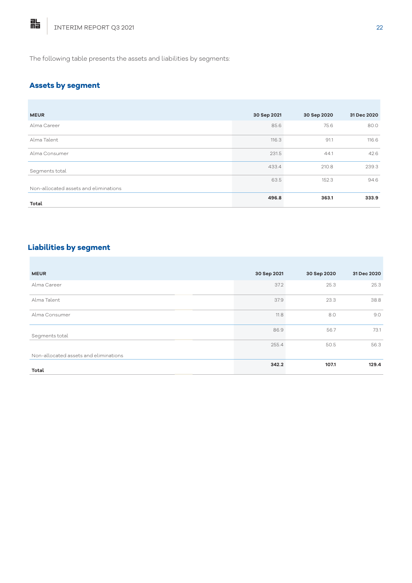The following table presents the assets and liabilities by segments:

# **Assets by segment**

| <b>MEUR</b>                           | 30 Sep 2021 | 30 Sep 2020 | 31 Dec 2020 |
|---------------------------------------|-------------|-------------|-------------|
| Alma Career                           | 85.6        | 75.6        | 80.0        |
| Alma Talent                           | 116.3       | 91.1        | 116.6       |
| Alma Consumer                         | 231.5       | 44.1        | 42.6        |
| Segments total                        | 433.4       | 210.8       | 239.3       |
| Non-allocated assets and eliminations | 63.5        | 152.3       | 94.6        |
| Total                                 | 496.8       | 363.1       | 333.9       |

# **Liabilities by segment**

| <b>MEUR</b>                           | 30 Sep 2021 | 30 Sep 2020 | 31 Dec 2020 |
|---------------------------------------|-------------|-------------|-------------|
| Alma Career                           | 37.2        | 25.3        | 25.3        |
| Alma Talent                           | 37.9        | 23.3        | 38.8        |
| Alma Consumer                         | 11.8        | 8.0         | 9.0         |
| Segments total                        | 86.9        | 56.7        | 73.1        |
|                                       | 255.4       | 50.5        | 56.3        |
| Non-allocated assets and eliminations |             |             |             |
| Total                                 | 342.2       | 107.1       | 129.4       |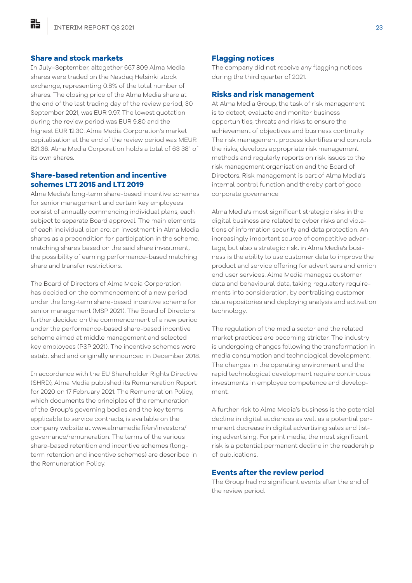#### **Share and stock markets**

點

In July–September, altogether 667 809 Alma Media shares were traded on the Nasdaq Helsinki stock exchange, representing 0.8% of the total number of shares. The closing price of the Alma Media share at the end of the last trading day of the review period, 30 September 2021, was EUR 9.97. The lowest quotation during the review period was EUR 9.80 and the highest EUR 12.30. Alma Media Corporation's market capitalisation at the end of the review period was MEUR 821.36. Alma Media Corporation holds a total of 63 381 of its own shares.

#### **Share-based retention and incentive schemes LTI 2015 and LTI 2019**

Alma Media's long-term share-based incentive schemes for senior management and certain key employees consist of annually commencing individual plans, each subject to separate Board approval. The main elements of each individual plan are: an investment in Alma Media shares as a precondition for participation in the scheme, matching shares based on the said share investment, the possibility of earning performance-based matching share and transfer restrictions.

The Board of Directors of Alma Media Corporation has decided on the commencement of a new period under the long-term share-based incentive scheme for senior management (MSP 2021). The Board of Directors further decided on the commencement of a new period under the performance-based share-based incentive scheme aimed at middle management and selected key employees (PSP 2021). The incentive schemes were established and originally announced in December 2018.

In accordance with the EU Shareholder Rights Directive (SHRD), Alma Media published its Remuneration Report for 2020 on 17 February 2021. The Remuneration Policy, which documents the principles of the remuneration of the Group's governing bodies and the key terms applicable to service contracts, is available on the company website at www.almamedia.fi/en/investors/ governance/remuneration. The terms of the various share-based retention and incentive schemes (longterm retention and incentive schemes) are described in the Remuneration Policy.

#### **Flagging notices**

The company did not receive any flagging notices during the third quarter of 2021.

#### **Risks and risk management**

At Alma Media Group, the task of risk management is to detect, evaluate and monitor business opportunities, threats and risks to ensure the achievement of objectives and business continuity. The risk management process identifies and controls the risks, develops appropriate risk management methods and regularly reports on risk issues to the risk management organisation and the Board of Directors. Risk management is part of Alma Media's internal control function and thereby part of good corporate governance.

Alma Media's most significant strategic risks in the digital business are related to cyber risks and violations of information security and data protection. An increasingly important source of competitive advantage, but also a strategic risk, in Alma Media's business is the ability to use customer data to improve the product and service offering for advertisers and enrich end user services. Alma Media manages customer data and behavioural data, taking regulatory requirements into consideration, by centralising customer data repositories and deploying analysis and activation technology.

The regulation of the media sector and the related market practices are becoming stricter. The industry is undergoing changes following the transformation in media consumption and technological development. The changes in the operating environment and the rapid technological development require continuous investments in employee competence and development.

A further risk to Alma Media's business is the potential decline in digital audiences as well as a potential permanent decrease in digital advertising sales and listing advertising. For print media, the most significant risk is a potential permanent decline in the readership of publications.

#### **Events after the review period**

The Group had no significant events after the end of the review period.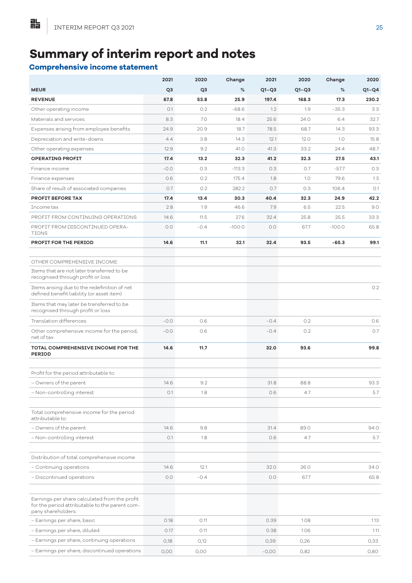# **Summary of interim report and notes**

# **Comprehensive income statement**

|                                                                                                                       | 2021           | 2020           | Change   | 2021    | 2020    | Change   | 2020    |
|-----------------------------------------------------------------------------------------------------------------------|----------------|----------------|----------|---------|---------|----------|---------|
| <b>MEUR</b>                                                                                                           | Q <sub>3</sub> | Q <sub>3</sub> | %        | $Q1-Q3$ | $Q1-Q3$ | %        | $Q1-Q4$ |
| <b>REVENUE</b>                                                                                                        | 67.8           | 53.8           | 25.9     | 197.4   | 168.3   | 17.3     | 230.2   |
| Other operating income                                                                                                | O.1            | 0.2            | $-68.6$  | 1.2     | 1.9     | $-35.3$  | 3.3     |
| Materials and services                                                                                                | 8.3            | 7.0            | 18.4     | 25.6    | 24.0    | 6.4      | 32.7    |
| Expenses arising from employee benefits                                                                               | 24.9           | 20.9           | 18.7     | 78.5    | 68.7    | 14.3     | 93.3    |
| Depreciation and write-downs                                                                                          | 4.4            | 3.8            | 14.3     | 12.1    | 12.0    | 1.0      | 15.8    |
| Other operating expenses                                                                                              | 12.9           | 9.2            | 41.0     | 41.3    | 33.2    | 24.4     | 48.7    |
| <b>OPERATING PROFIT</b>                                                                                               | 17.4           | 13.2           | 32.3     | 41.2    | 32.3    | 27.5     | 43.1    |
| Finance income                                                                                                        | $-0.0$         | 0.3            | $-113.3$ | 0.3     | 0.7     | $-57.7$  | 0.3     |
| Finance expenses                                                                                                      | 0.6            | 0.2            | 175.4    | 1.8     | 1.0     | 79.6     | 1.3     |
| Share of result of associated companies                                                                               | 0.7            | 0.2            | 282.2    | 0.7     | 0.3     | 106.4    | O.1     |
| <b>PROFIT BEFORE TAX</b>                                                                                              | 17.4           | 13.4           | 30.3     | 40.4    | 32.3    | 24.9     | 42.2    |
| Income tax                                                                                                            | 2.8            | 1.9            | 46.6     | 7.9     | 6.5     | 22.5     | 9.0     |
| PROFIT FROM CONTINUING OPERATIONS                                                                                     | 14.6           | 11.5           | 27.6     | 32.4    | 25.8    | 25.5     | 33.3    |
| PROFIT FROM DISCONTINUED OPERA-<br><b>TIONS</b>                                                                       | 0.0            | $-0.4$         | $-100.0$ | 0.0     | 67.7    | $-100.0$ | 65.8    |
| PROFIT FOR THE PERIOD                                                                                                 | 14.6           | 11.1           | 32.1     | 32.4    | 93.5    | $-65.3$  | 99.1    |
| OTHER COMPREHENSIVE INCOME:                                                                                           |                |                |          |         |         |          |         |
| Items that are not later transferred to be                                                                            |                |                |          |         |         |          |         |
| recognised through profit or loss                                                                                     |                |                |          |         |         |          |         |
| Items arising due to the redefinition of net<br>defined benefit liability (or asset item)                             |                |                |          |         |         |          | 0.2     |
| Items that may later be transferred to be<br>recognised through profit or loss                                        |                |                |          |         |         |          |         |
| Translation differences                                                                                               | $-0.0$         | 0.6            |          | $-0.4$  | 0.2     |          | 0.6     |
| Other comprehensive income for the period,<br>net of tax                                                              | $-0.0$         | 0.6            |          | $-0.4$  | 0.2     |          | 0.7     |
| TOTAL COMPREHENSIVE INCOME FOR THE<br><b>PERIOD</b>                                                                   | 14.6           | 11.7           |          | 32.0    | 93.6    |          | 99.8    |
| Profit for the period attributable to:                                                                                |                |                |          |         |         |          |         |
| - Owners of the parent                                                                                                | 14.6           | 9.2            |          | 31.8    | 88.8    |          | 93.3    |
| - Non-controlling interest                                                                                            | O.1            | 1.8            |          | 0.6     | 4.7     |          | 5.7     |
| Total comprehensive income for the period<br>attributable to:                                                         |                |                |          |         |         |          |         |
| - Owners of the parent                                                                                                | 14.6           | 9.8            |          | 31.4    | 89.0    |          | 94.0    |
| - Non-controlling interest                                                                                            | O.1            | 1.8            |          | 0.6     | 4.7     |          | 5.7     |
|                                                                                                                       |                |                |          |         |         |          |         |
| Distribution of total comprehensive income                                                                            |                |                |          |         |         |          |         |
| - Continuing operations                                                                                               | 14.6           | 12.1           |          | 32.0    | 26.0    |          | 34.0    |
| - Discontinued operations                                                                                             | 0.0            | $-0.4$         |          | 0.0     | 67.7    |          | 65.8    |
| Earnings per share calculated from the profit<br>for the period attributable to the parent com-<br>pany shareholders: |                |                |          |         |         |          |         |
| - Earnings per share, basic                                                                                           | 0.18           | 0.11           |          | 0.39    | 1.08    |          | 1.13    |
| - Earnings per share, diluted                                                                                         | 0.17           | 0.11           |          | 0.38    | 1.06    |          | 1.11    |
| - Earnings per share, continuing operations                                                                           | O,18           | O,12           |          | 0,39    | O,26    |          | 0,33    |
| - Earnings per share, discontinued operations                                                                         | 0,00           | 0,00           |          | $-0,00$ | 0,82    |          | 0,80    |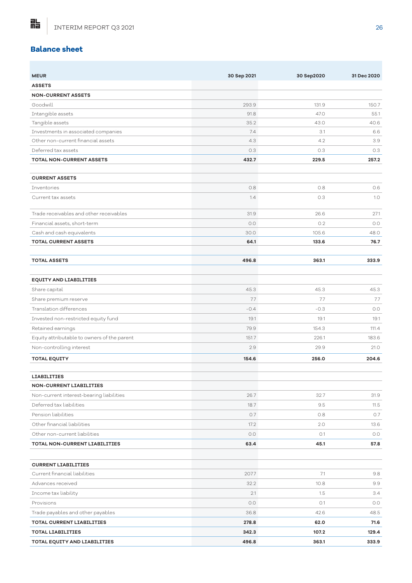# **Balance sheet**

點

| <b>MEUR</b>                                 | 30 Sep 2021 | 30 Sep2020 | 31 Dec 2020 |
|---------------------------------------------|-------------|------------|-------------|
| <b>ASSETS</b>                               |             |            |             |
| <b>NON-CURRENT ASSETS</b>                   |             |            |             |
| Goodwill                                    | 293.9       | 131.9      | 150.7       |
| Intangible assets                           | 91.8        | 47.0       | 55.1        |
| Tangible assets                             | 35.2        | 43.0       | 40.6        |
| Investments in associated companies         | 7.4         | 3.1        | 6.6         |
| Other non-current financial assets          | 4.3         | 4.2        | 3.9         |
| Deferred tax assets                         | 0.3         | 0.3        | 0.3         |
| <b>TOTAL NON-CURRENT ASSETS</b>             | 432.7       | 229.5      | 257.2       |
|                                             |             |            |             |
| <b>CURRENT ASSETS</b>                       | 0.8         |            |             |
| Inventories                                 |             | 0.8        | 0.6         |
| Current tax assets                          | 1.4         | 0.3        | 1.0         |
| Trade receivables and other receivables     | 31.9        | 26.6       | 27.1        |
| Financial assets, short-term                | 0.0         | 0.2        | 0.0         |
| Cash and cash equivalents                   | 30.0        | 105.6      | 48.0        |
| <b>TOTAL CURRENT ASSETS</b>                 | 64.1        | 133.6      | 76.7        |
| <b>TOTAL ASSETS</b>                         | 496.8       | 363.1      | 333.9       |
|                                             |             |            |             |
| <b>EQUITY AND LIABILITIES</b>               |             |            |             |
| Share capital                               | 45.3        | 45.3       | 45.3        |
| Share premium reserve                       | 7.7         | 7.7        | 7.7         |
| Translation differences                     | $-0.4$      | $-0.3$     | 0.0         |
| Invested non-restricted equity fund         | 19.1        | 19.1       | 19.1        |
| Retained earnings                           | 79.9        | 154.3      | 111.4       |
| Equity attributable to owners of the parent | 151.7       | 226.1      | 183.6       |
| Non-controlling interest                    | 2.9         | 29.9       | 21.0        |
| <b>TOTAL EQUITY</b>                         | 154.6       | 256.0      | 204.6       |
|                                             |             |            |             |
| <b>LIABILITIES</b>                          |             |            |             |
| <b>NON-CURRENT LIABILITIES</b>              |             |            |             |
| Non-current interest-bearing liabilities    | 26.7        | 32.7       | 31.9        |
| Deferred tax liabilities                    | 18.7        | 9.5        | 11.5        |
| Pension liabilities                         | 0.7         | 0.8        | 0.7         |
| Other financial liabilities                 | 17.2        | 2.0        | 13.6        |
| Other non-current liabilities               | 0.0         | O.1        | 0.0         |
| TOTAL NON-CURRENT LIABILITIES               | 63.4        | 45.1       | 57.8        |
|                                             |             |            |             |
| <b>CURRENT LIABILITIES</b>                  |             |            |             |
| Current financial liabilities               | 207.7       | 7.1        | 9.8         |
| Advances received                           | 32.2        | 10.8       | 9.9         |
| Income tax liability                        | 2.1         | 1.5        | 3.4         |
| Provisions                                  | 0.0         | O.1        | 0.0         |
| Trade payables and other payables           | 36.8        | 42.6       | 48.5        |
| <b>TOTAL CURRENT LIABILITIES</b>            | 278.8       | 62.0       | 71.6        |
| <b>TOTAL LIABILITIES</b>                    | 342.3       | 107.2      | 129.4       |
| TOTAL EQUITY AND LIABILITIES                | 496.8       | 363.1      | 333.9       |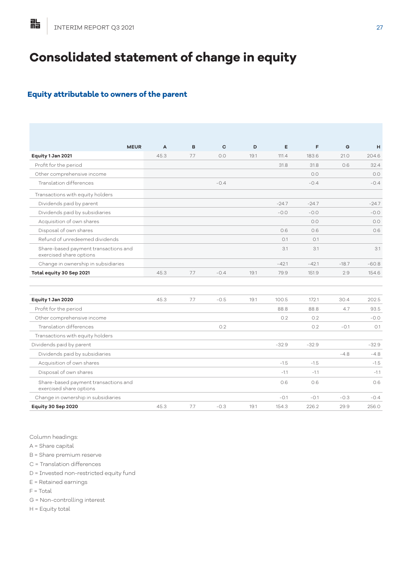# **Consolidated statement of change in equity**

# **Equity attributable to owners of the parent**

| <b>MEUR</b>                                                     | A    | B   | C      | D    | E       | F       | G       | H       |
|-----------------------------------------------------------------|------|-----|--------|------|---------|---------|---------|---------|
| Equity 1 Jan 2021                                               | 45.3 | 7.7 | 0.0    | 19.1 | 111.4   | 183.6   | 21.0    | 204.6   |
| Profit for the period                                           |      |     |        |      | 31.8    | 31.8    | 0.6     | 32.4    |
| Other comprehensive income                                      |      |     |        |      |         | 0.0     |         | 0.0     |
| Translation differences                                         |      |     | $-0.4$ |      |         | $-0.4$  |         | $-0.4$  |
| Transactions with equity holders                                |      |     |        |      |         |         |         |         |
| Dividends paid by parent                                        |      |     |        |      | $-24.7$ | $-24.7$ |         | $-24.7$ |
| Dividends paid by subsidiaries                                  |      |     |        |      | $-0.0$  | $-0.0$  |         | $-0.0$  |
| Acquisition of own shares                                       |      |     |        |      |         | 0.0     |         | 0.0     |
| Disposal of own shares                                          |      |     |        |      | 0.6     | 0.6     |         | 0.6     |
| Refund of unredeemed dividends                                  |      |     |        |      | O.1     | 0.1     |         |         |
| Share-based payment transactions and<br>exercised share options |      |     |        |      | 3.1     | 3.1     |         | 3.1     |
| Change in ownership in subsidiaries                             |      |     |        |      | $-42.1$ | $-42.1$ | $-18.7$ | $-60.8$ |
| Total equity 30 Sep 2021                                        | 45.3 | 7.7 | $-0.4$ | 19.1 | 79.9    | 151.9   | 2.9     | 154.6   |
| Equity 1 Jan 2020                                               | 45.3 | 7.7 | $-0.5$ | 19.1 | 100.5   | 172.1   | 30.4    | 202.5   |
| Profit for the period                                           |      |     |        |      | 88.8    | 88.8    | 4.7     | 93.5    |
| Other comprehensive income                                      |      |     |        |      | 0.2     | 0.2     |         | $-0.0$  |
| Translation differences                                         |      |     | 0.2    |      |         | 0.2     | $-0.1$  | O.1     |
| Transactions with equity holders                                |      |     |        |      |         |         |         |         |
| Dividends paid by parent                                        |      |     |        |      | $-32.9$ | $-32.9$ |         | $-32.9$ |
| Dividends paid by subsidiaries                                  |      |     |        |      |         |         | $-4.8$  | $-4.8$  |
| Acquisition of own shares                                       |      |     |        |      | $-1.5$  | $-1.5$  |         | $-1.5$  |
| Disposal of own shares                                          |      |     |        |      | $-1.1$  | $-1.1$  |         | $-1.1$  |
| Share-based payment transactions and<br>exercised share options |      |     |        |      | 0.6     | 0.6     |         | 0.6     |
| Change in ownership in subsidiaries                             |      |     |        |      | $-0.1$  | $-0.1$  | $-0.3$  | $-0.4$  |
| Equity 30 Sep 2020                                              | 45.3 | 7.7 | $-0.3$ | 19.1 | 154.3   | 226.2   | 29.9    | 256.0   |

Column headings:

A = Share capital

B = Share premium reserve

C = Translation differences

D = Invested non-restricted equity fund

E = Retained earnings

F = Total

G = Non-controlling interest

H = Equity total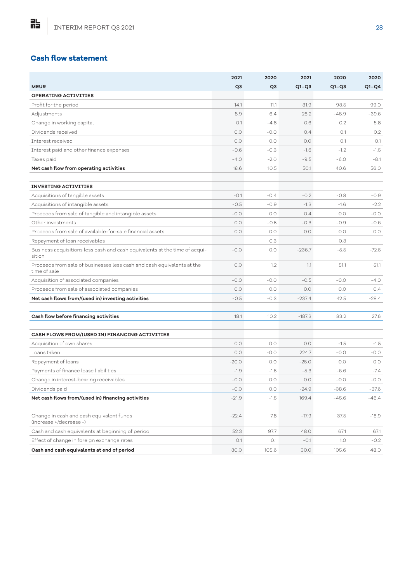# **Cash flow statement**

|                                                                                        | 2021           | 2020           | 2021     | 2020    | 2020    |
|----------------------------------------------------------------------------------------|----------------|----------------|----------|---------|---------|
| <b>MEUR</b>                                                                            | Q <sub>3</sub> | Q <sub>3</sub> | $Q1-Q3$  | $Q1-Q3$ | $Q1-Q4$ |
| <b>OPERATING ACTIVITIES</b>                                                            |                |                |          |         |         |
| Profit for the period                                                                  | 14.1           | 11.1           | 31.9     | 93.5    | 99.0    |
| Adjustments                                                                            | 8.9            | 6.4            | 28.2     | $-45.9$ | $-39.6$ |
| Change in working capital                                                              | O.1            | $-4.8$         | 0.6      | 0.2     | 5.8     |
| Dividends received                                                                     | 0.0            | $-0.0$         | 0.4      | O.1     | 0.2     |
| <b>Tnterest received</b>                                                               | 0.0            | 0.0            | 0.0      | O.1     | O.1     |
| Interest paid and other finance expenses                                               | $-0.6$         | $-0.3$         | $-1.6$   | $-1.2$  | $-1.5$  |
| Taxes paid                                                                             | $-4.0$         | $-2.0$         | $-9.5$   | $-6.0$  | $-8.1$  |
| Net cash flow from operating activities                                                | 18.6           | 10.5           | 50.1     | 40.6    | 56.0    |
| <b>INVESTING ACTIVITIES</b>                                                            |                |                |          |         |         |
| Acquisitions of tangible assets                                                        | $-0.1$         | $-0.4$         | $-0.2$   | $-0.8$  | $-0.9$  |
| Acquisitions of intangible assets                                                      | $-0.5$         | $-0.9$         | $-1.3$   | $-1.6$  | $-2.2$  |
| Proceeds from sale of tangible and intangible assets                                   | $-0.0$         | 0.0            | 0.4      | 0.0     | $-0.0$  |
| Other investments                                                                      | 0.0            | $-0.5$         | $-0.3$   | $-0.9$  | $-0.6$  |
| Proceeds from sale of available-for-sale financial assets                              | 0.0            | 0.0            | 0.0      | 0.0     | 0.0     |
| Repayment of loan receivables                                                          |                | 0.3            |          | 0.3     |         |
| Business acquisitions less cash and cash equivalents at the time of acqui-<br>sition   | $-0.0$         | 0.0            | $-236.7$ | $-5.5$  | $-72.5$ |
| Proceeds from sale of businesses less cash and cash equivalents at the<br>time of sale | 0.0            | 1.2            | 1.1      | 51.1    | 51.1    |
| Acquisition of associated companies                                                    | $-0.0$         | $-0.0$         | $-0.5$   | $-0.0$  | $-4.0$  |
| Proceeds from sale of associated companies                                             | 0.0            | 0.0            | 0.0      | O.O     | 0.4     |
| Net cash flows from/(used in) investing activities                                     | $-0.5$         | $-0.3$         | $-237.4$ | 42.5    | $-28.4$ |
| Cash flow before financing activities                                                  | 18.1           | 10.2           | $-187.3$ | 83.2    | 27.6    |
|                                                                                        |                |                |          |         |         |
| CASH FLOWS FROM/(USED IN) FINANCING ACTIVITIES                                         |                |                |          |         |         |
| Acquisition of own shares                                                              | 0.0            | 0.0            | 0.0      | $-1.5$  | $-1.5$  |
| Loans taken                                                                            | 0.0            | $-0.0$         | 224.7    | $-0.0$  | $-0.0$  |
| Repayment of loans                                                                     | $-20.0$        | 0.0            | $-25.0$  | O.O     | 0.0     |
| Payments of finance lease liabilities                                                  | $-1.9$         | $-1.5$         | $-5.3$   | $-6.6$  | $-7.4$  |
| Change in interest-bearing receivables                                                 | $-0.0$         | 0.0            | 0.0      | $-0.0$  | $-0.0$  |
| Dividends paid                                                                         | $-0.0$         | O.O            | $-24.9$  | $-38.6$ | $-37.6$ |
| Net cash flows from/(used in) financing activities                                     | $-21.9$        | $-1.5$         | 169.4    | $-45.6$ | $-46.4$ |
|                                                                                        |                |                |          |         |         |
| Change in cash and cash equivalent funds<br>(increase +/decrease -)                    | $-22.4$        | 7.8            | $-17.9$  | 37.5    | $-18.9$ |
| Cash and cash equivalents at beginning of period                                       | 52.3           | 97.7           | 48.0     | 67.1    | 67.1    |
| Effect of change in foreign exchange rates                                             | 0.1            | 0.1            | $-0.1$   | 1.0     | $-0.2$  |
| Cash and cash equivalents at end of period                                             | 30.0           | 105.6          | 30.0     | 105.6   | 48.0    |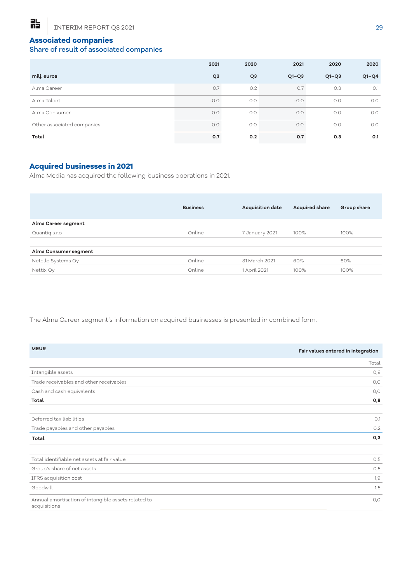# **Associated companies**

# Share of result of associated companies

|                            | 2021           | 2020           | 2021    | 2020    | 2020    |
|----------------------------|----------------|----------------|---------|---------|---------|
| milj. euroa                | Q <sub>3</sub> | Q <sub>3</sub> | $Q1-Q3$ | $Q1-Q3$ | $Q1-Q4$ |
| Alma Career                | 0.7            | 0.2            | 0.7     | 0.3     | O.1     |
| Alma Talent                | $-0.0$         | 0.0            | $-0.0$  | 0.0     | O.O     |
| Alma Consumer              | 0.0            | O.O            | O.O     | O.O     | O.O     |
| Other associated companies | 0.0            | O.O            | 0.0     | 0.0     | O.O     |
| Total                      | 0.7            | 0.2            | 0.7     | 0.3     | 0.1     |

## **Acquired businesses in 2021**

Alma Media has acquired the following business operations in 2021:

|                       | <b>Business</b> | <b>Acquisition date</b> | <b>Acquired share</b> | Group share |
|-----------------------|-----------------|-------------------------|-----------------------|-------------|
| Alma Career segment   |                 |                         |                       |             |
| Quantig s.r.o         | Online          | 7 January 2021          | 100%                  | 100%        |
| Alma Consumer segment |                 |                         |                       |             |
| Netello Systems Oy    | Online          | 31 March 2021           | 60%                   | 60%         |
| Nettix Oy             | Online          | 1 April 2021            | 100%                  | 100%        |

The Alma Career segment's information on acquired businesses is presented in combined form.

| <b>MEUR</b>                                                         | Fair values entered in integration |
|---------------------------------------------------------------------|------------------------------------|
|                                                                     | Total                              |
| Intangible assets                                                   | 0,8                                |
| Trade receivables and other receivables                             | O, O                               |
| Cash and cash equivalents                                           | O,O                                |
| Total                                                               | 0,8                                |
| Deferred tax liabilities                                            | O,1                                |
| Trade payables and other payables                                   | O <sub>1</sub> 2                   |
| Total                                                               | 0,3                                |
| Total identifiable net assets at fair value                         | O,5                                |
| Group's share of net assets                                         | O,5                                |
| IFRS acquisition cost                                               | 1,9                                |
| Goodwill                                                            | 1,5                                |
| Annual amortisation of intangible assets related to<br>acquisitions | O, O                               |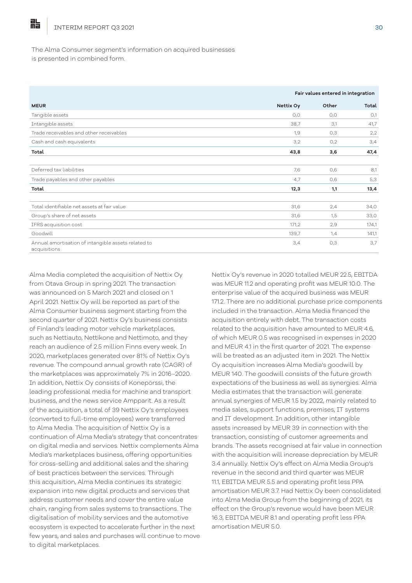晶

#### The Alma Consumer segment's information on acquired businesses is presented in combined form.

|                                                                     | Fair values entered in integration |       |       |  |  |
|---------------------------------------------------------------------|------------------------------------|-------|-------|--|--|
| <b>MEUR</b>                                                         | Nettix Oy                          | Other | Total |  |  |
| Tangible assets                                                     | O, O                               | O, O  | O,1   |  |  |
| Intangible assets                                                   | 38,7                               | 3,1   | 41,7  |  |  |
| Trade receivables and other receivables                             | 1,9                                | O,3   | 2,2   |  |  |
| Cash and cash equivalents                                           | 3,2                                | 0,2   | 3,4   |  |  |
| Total                                                               | 43,8                               | 3,6   | 47,4  |  |  |
| Deferred tax liabilities                                            | 7,6                                | 0,6   | 8,1   |  |  |
| Trade payables and other payables                                   | 4,7                                | O,6   | 5,3   |  |  |
| Total                                                               | 12,3                               | 1,1   | 13,4  |  |  |
| Total identifiable net assets at fair value                         | 31,6                               | 2,4   | 34,0  |  |  |
| Group's share of net assets                                         | 31,6                               | 1,5   | 33,0  |  |  |
| IFRS acquisition cost                                               | 171,2                              | 2,9   | 174,1 |  |  |
| Goodwill                                                            | 139,7                              | 1,4   | 141,1 |  |  |
| Annual amortisation of intangible assets related to<br>acquisitions | 3,4                                | O,3   | 3,7   |  |  |

Alma Media completed the acquisition of Nettix Oy from Otava Group in spring 2021. The transaction was announced on 5 March 2021 and closed on 1 April 2021. Nettix Oy will be reported as part of the Alma Consumer business segment starting from the second quarter of 2021. Nettix Oy's business consists of Finland's leading motor vehicle marketplaces, such as Nettiauto, Nettikone and Nettimoto, and they reach an audience of 2.5 million Finns every week. In 2020, marketplaces generated over 81% of Nettix Oy's revenue. The compound annual growth rate (CAGR) of the marketplaces was approximately 7% in 2016–2020. In addition, Nettix Oy consists of Konepörssi, the leading professional media for machine and transport business, and the news service Ampparit. As a result of the acquisition, a total of 39 Nettix Oy's employees (converted to full-time employees) were transferred to Alma Media. The acquisition of Nettix Oy is a continuation of Alma Media's strategy that concentrates on digital media and services. Nettix complements Alma Media's marketplaces business, offering opportunities for cross-selling and additional sales and the sharing of best practices between the services. Through this acquisition, Alma Media continues its strategic expansion into new digital products and services that address customer needs and cover the entire value chain, ranging from sales systems to transactions. The digitalisation of mobility services and the automotive ecosystem is expected to accelerate further in the next few years, and sales and purchases will continue to move to digital marketplaces.

Nettix Oy's revenue in 2020 totalled MEUR 22.5, EBITDA was MEUR 11.2 and operating profit was MEUR 10.0. The enterprise value of the acquired business was MEUR 171.2. There are no additional purchase price components included in the transaction. Alma Media financed the acquisition entirely with debt. The transaction costs related to the acquisition have amounted to MEUR 4.6, of which MEUR 0.5 was recognised in expenses in 2020 and MEUR 4.1 in the first quarter of 2021. The expense will be treated as an adjusted item in 2021. The Nettix Oy acquisition increases Alma Media's goodwill by MEUR 140. The goodwill consists of the future growth expectations of the business as well as synergies. Alma Media estimates that the transaction will generate annual synergies of MEUR 1.5 by 2022, mainly related to media sales, support functions, premises, IT systems and IT development. In addition, other intangible assets increased by MEUR 39 in connection with the transaction, consisting of customer agreements and brands. The assets recognised at fair value in connection with the acquisition will increase depreciation by MEUR 3.4 annually. Nettix Oy's effect on Alma Media Group's revenue in the second and third quarter was MEUR 11.1, EBITDA MEUR 5.5 and operating profit less PPA amortisation MEUR 3.7. Had Nettix Oy been consolidated into Alma Media Group from the beginning of 2021, its effect on the Group's revenue would have been MEUR 16.3, EBITDA MEUR 8.1 and operating profit less PPA amortisation MEUR 5.0.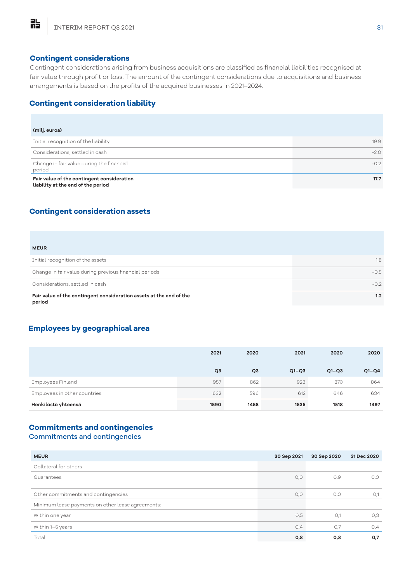#### **Contingent considerations**

Contingent considerations arising from business acquisitions are classified as financial liabilities recognised at fair value through profit or loss. The amount of the contingent considerations due to acquisitions and business arrangements is based on the profits of the acquired businesses in 2021–2024.

# **Contingent consideration liability**

| (milj. euroa)                                                                    |        |
|----------------------------------------------------------------------------------|--------|
| Initial recognition of the liability                                             | 19.9   |
| Considerations, settled in cash                                                  | $-2.0$ |
| Change in fair value during the financial<br>period                              | $-0.2$ |
| Fair value of the contingent consideration<br>liability at the end of the period | 17.7   |

## **Contingent consideration assets**

#### **MEUR**

胋

| Fair value of the contingent consideration assets at the end of the<br>period | 1.2    |
|-------------------------------------------------------------------------------|--------|
| Considerations, settled in cash                                               | $-0.2$ |
| Change in fair value during previous financial periods                        | $-0.5$ |
| Initial recognition of the assets                                             | 1.8    |
| $\mathbf{v}$                                                                  |        |

# **Employees by geographical area**

|                              | 2021           | 2020           | 2021    | 2020    | 2020    |
|------------------------------|----------------|----------------|---------|---------|---------|
|                              | Q <sub>3</sub> | Q <sub>3</sub> | $Q1-Q3$ | $Q1-Q3$ | $Q1-Q4$ |
| Employees Finland            | 957            | 862            | 923     | 873     | 864     |
| Employees in other countries | 632            | 596            | 612     | 646     | 634     |
| Henkilöstö yhteensä          | 1590           | 1458           | 1535    | 1518    | 1497    |

#### **Commitments and contingencies**

## Commitments and contingencies

| <b>MEUR</b>                                       | 30 Sep 2021 | 30 Sep 2020 | 31 Dec 2020 |
|---------------------------------------------------|-------------|-------------|-------------|
| Collateral for others                             |             |             |             |
| Guarantees                                        | O, O        | O,9         | O, O        |
| Other commitments and contingencies               | O, O        | O, O        | O,1         |
| Minimum lease payments on other lease agreements: |             |             |             |
| Within one year                                   | O,5         | O,1         | O,3         |
| Within 1-5 years                                  | 0,4         | O,7         | O,4         |
| Total                                             | 0,8         | O, 8        | 0,7         |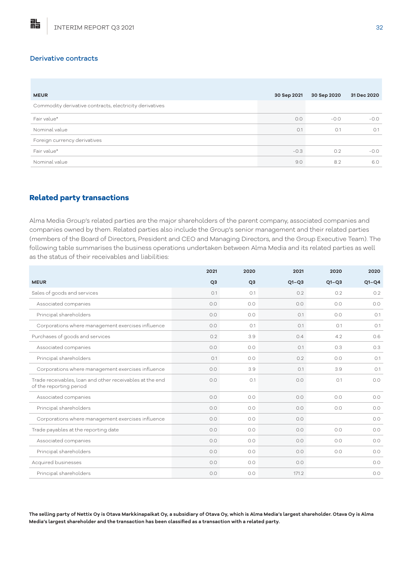#### Derivative contracts

點

| <b>MEUR</b>                                             | 30 Sep 2021 | 30 Sep 2020 | 31 Dec 2020 |
|---------------------------------------------------------|-------------|-------------|-------------|
| Commodity derivative contracts, electricity derivatives |             |             |             |
| Fair value*                                             | O.O         | $-0.0$      | $-0.0$      |
| Nominal value                                           | O.1         | O.1         | O.1         |
| Foreign currency derivatives                            |             |             |             |
| Fair value*                                             | $-0.3$      | O.2         | $-0.0$      |
| Nominal value                                           | 9.0         | 8.2         | 6.0         |

## **Related party transactions**

Alma Media Group's related parties are the major shareholders of the parent company, associated companies and companies owned by them. Related parties also include the Group's senior management and their related parties (members of the Board of Directors, President and CEO and Managing Directors, and the Group Executive Team). The following table summarises the business operations undertaken between Alma Media and its related parties as well as the status of their receivables and liabilities:

|                                                                                     | 2021           | 2020           | 2021    | 2020    | 2020    |
|-------------------------------------------------------------------------------------|----------------|----------------|---------|---------|---------|
| <b>MEUR</b>                                                                         | Q <sub>3</sub> | Q <sub>3</sub> | $Q1-Q3$ | $Q1-Q3$ | $Q1-Q4$ |
| Sales of goods and services                                                         | O.1            | O.1            | 0.2     | 0.2     | 0.2     |
| Associated companies                                                                | 0.0            | 0.0            | 0.0     | 0.0     | 0.0     |
| Principal shareholders                                                              | 0.0            | 0.0            | O.1     | O.O     | O.1     |
| Corporations where management exercises influence                                   | O.O            | O.1            | O.1     | O.1     | O.1     |
| Purchases of goods and services                                                     | 0.2            | 3.9            | 0.4     | 4.2     | 0.6     |
| Associated companies                                                                | 0.0            | 0.0            | O.1     | 0.3     | 0.3     |
| Principal shareholders                                                              | O.1            | 0.0            | 0.2     | O.O     | O.1     |
| Corporations where management exercises influence                                   | O.O            | 3.9            | O.1     | 3.9     | O.1     |
| Trade receivables, loan and other receivables at the end<br>of the reporting period | O.O            | O.1            | 0.0     | O.1     | 0.0     |
| Associated companies                                                                | 0.0            | 0.0            | 0.0     | 0.0     | 0.0     |
| Principal shareholders                                                              | O.O            | 0.0            | O.O     | O.O     | 0.0     |
| Corporations where management exercises influence                                   | O.O            | 0.0            | 0.0     |         | 0.0     |
| Trade payables at the reporting date                                                | O.O            | 0.0            | O.O     | O.O     | O.O     |
| Associated companies                                                                | 0.0            | 0.0            | 0.0     | O.O     | 0.0     |
| Principal shareholders                                                              | 0.0            | 0.0            | 0.0     | 0.0     | 0.0     |
| Acquired businesses                                                                 | O.O            | 0.0            | 0.0     |         | 0.0     |
| Principal shareholders                                                              | O.O            | 0.0            | 171.2   |         | 0.0     |

**The selling party of Nettix Oy is Otava Markkinapaikat Oy, a subsidiary of Otava Oy, which is Alma Media's largest shareholder. Otava Oy is Alma Media's largest shareholder and the transaction has been classified as a transaction with a related party.**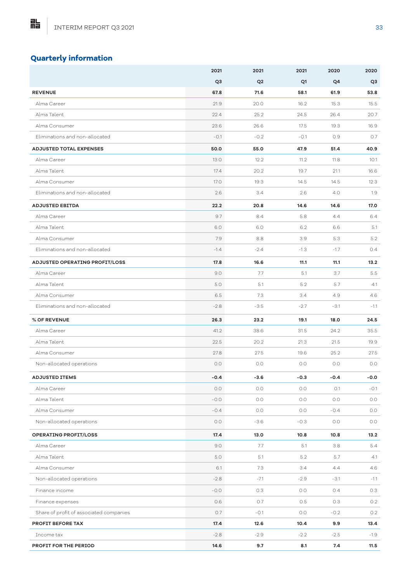# **Quarterly information**

|                                         | 2021           | 2021           | 2021    | 2020   | 2020    |
|-----------------------------------------|----------------|----------------|---------|--------|---------|
|                                         | Q <sub>3</sub> | Q <sub>2</sub> | Q1      | Q4     | Q3      |
| <b>REVENUE</b>                          | 67.8           | 71.6           | 58.1    | 61.9   | 53.8    |
| Alma Career                             | 21.9           | 20.0           | 16.2    | 15.3   | 15.5    |
| Alma Talent                             | 22.4           | 25.2           | 24.5    | 26.4   | 20.7    |
| Alma Consumer                           | 23.6           | 26.6           | 17.5    | 19.3   | 16.9    |
| Eliminations and non-allocated          | $-0.1$         | $-0.2$         | $-0.1$  | 0.9    | 0.7     |
| <b>ADJUSTED TOTAL EXPENSES</b>          | 50.0           | 55.0           | 47.9    | 51.4   | 40.9    |
| Alma Career                             | 13.0           | 12.2           | 11.2    | 11.8   | 10.1    |
| Alma Talent                             | 17.4           | 20.2           | 19.7    | 21.1   | 16.6    |
| Alma Consumer                           | 17.0           | 19.3           | 14.5    | 14.5   | 12.3    |
| Eliminations and non-allocated          | 2.6            | 3.4            | 2.6     | 4.0    | 1.9     |
| <b>ADJUSTED EBITDA</b>                  | 22.2           | 20.8           | 14.6    | 14.6   | 17.0    |
| Alma Career                             | 9.7            | 8.4            | 5.8     | 4.4    | 6.4     |
| Alma Talent                             | 6.0            | 6.0            | 6.2     | 6.6    | 5.1     |
| Alma Consumer                           | 7.9            | 8.8            | 3.9     | 5.3    | 5.2     |
| Eliminations and non-allocated          | $-1.4$         | $-2.4$         | $-1.3$  | $-1.7$ | 0.4     |
| ADJUSTED OPERATING PROFIT/LOSS          | 17.8           | 16.6           | 11.1    | 11.1   | 13.2    |
| Alma Career                             | 9.0            | 7.7            | 5.1     | 3.7    | 5.5     |
| Alma Talent                             | 5.0            | 5.1            | 5.2     | 5.7    | 4.1     |
| Alma Consumer                           | 6.5            | 7.3            | 3.4     | 4.9    | 4.6     |
| Eliminations and non-allocated          | $-2.8$         | $-3.5$         | $-2.7$  | $-3.1$ | $-1.1$  |
| % OF REVENUE                            | 26.3           | 23.2           | 19.1    | 18.0   | 24.5    |
| Alma Career                             | 41.2           | 38.6           | 31.5    | 24.2   | 35.5    |
| Alma Talent                             | 22.5           | 20.2           | 21.3    | 21.5   | 19.9    |
| Alma Consumer                           | 27.8           | 27.5           | 19.6    | 25.2   | 27.5    |
| Non-allocated operations                | 0.0            | 0.0            | 0.0     | 0.0    | O.O     |
| <b>ADJUSTED ITEMS</b>                   | $-0.4$         | $-3.6$         | $-0.3$  | $-0.4$ | $-0.0$  |
| Alma Career                             | 0.0            | 0.0            | 0.0     | O.1    | $-0.1$  |
| Alma Talent                             | $-0.0$         | $O.O$          | $0.0\,$ | O.O    | $0.0\,$ |
| Alma Consumer                           | $-0.4$         | 0.0            | O.O     | $-0.4$ | 0.0     |
| Non-allocated operations                | $0.0\,$        | $-3.6$         | $-0.3$  | 0.0    | 0.0     |
| <b>OPERATING PROFIT/LOSS</b>            | 17.4           | 13.0           | 10.8    | 10.8   | 13.2    |
| Alma Career                             | 9.0            | 7.7            | 5.1     | 3.8    | 5.4     |
| Alma Talent                             | 5.0            | 5.1            | 5.2     | 5.7    | 4.1     |
| Alma Consumer                           | 6.1            | 7.3            | 3.4     | 4.4    | 4.6     |
| Non-allocated operations                | $-2.8$         | $-7.1$         | $-2.9$  | $-3.1$ | $-1.1$  |
| Finance income                          | $-0.0$         | 0.3            | O.O     | 0.4    | 0.3     |
| Finance expenses                        | 0.6            | 0.7            | 0.5     | 0.3    | 0.2     |
| Share of profit of associated companies | 0.7            | $-0.1$         | O.O     | $-0.2$ | 0.2     |
| PROFIT BEFORE TAX                       | 17.4           | 12.6           | 10.4    | 9.9    | 13.4    |
| Income tax                              | $-2.8$         | $-2.9$         | $-2.2$  | $-2.5$ | $-1.9$  |
| PROFIT FOR THE PERIOD                   | 14.6           | 9.7            | 8.1     | 7.4    | 11.5    |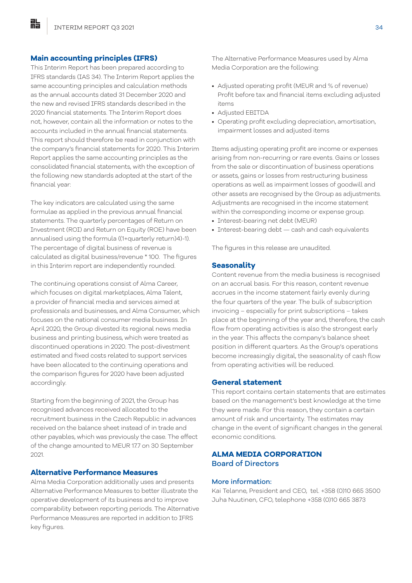#### **Main accounting principles (IFRS)**

This Interim Report has been prepared according to IFRS standards (IAS 34). The Interim Report applies the same accounting principles and calculation methods as the annual accounts dated 31 December 2020 and the new and revised IFRS standards described in the 2020 financial statements. The Interim Report does not, however, contain all the information or notes to the accounts included in the annual financial statements. This report should therefore be read in conjunction with the company's financial statements for 2020. This Interim Report applies the same accounting principles as the consolidated financial statements, with the exception of the following new standards adopted at the start of the financial year:

The key indicators are calculated using the same formulae as applied in the previous annual financial statements. The quarterly percentages of Return on Investment (ROI) and Return on Equity (ROE) have been annualised using the formula ((1+quarterly return)4)-1). The percentage of digital business of revenue is calculated as digital business/revenue \* 100. The figures in this Interim report are independently rounded.

The continuing operations consist of Alma Career, which focuses on digital marketplaces, Alma Talent, a provider of financial media and services aimed at professionals and businesses, and Alma Consumer, which focuses on the national consumer media business. In April 2020, the Group divested its regional news media business and printing business, which were treated as discontinued operations in 2020. The post-divestment estimated and fixed costs related to support services have been allocated to the continuing operations and the comparison figures for 2020 have been adjusted accordingly.

Starting from the beginning of 2021, the Group has recognised advances received allocated to the recruitment business in the Czech Republic in advances received on the balance sheet instead of in trade and other payables, which was previously the case. The effect of the change amounted to MEUR 17.7 on 30 September 2021.

#### **Alternative Performance Measures**

Alma Media Corporation additionally uses and presents Alternative Performance Measures to better illustrate the operative development of its business and to improve comparability between reporting periods. The Alternative Performance Measures are reported in addition to IFRS key figures.

The Alternative Performance Measures used by Alma Media Corporation are the following:

- Adjusted operating profit (MEUR and % of revenue) Profit before tax and financial items excluding adjusted items
- Adjusted EBITDA
- Operating profit excluding depreciation, amortisation, impairment losses and adjusted items

Items adjusting operating profit are income or expenses arising from non-recurring or rare events. Gains or losses from the sale or discontinuation of business operations or assets, gains or losses from restructuring business operations as well as impairment losses of goodwill and other assets are recognised by the Group as adjustments. Adjustments are recognised in the income statement within the corresponding income or expense group.

- Interest-bearing net debt (MEUR)
- Interest-bearing debt cash and cash equivalents

The figures in this release are unaudited.

#### **Seasonality**

Content revenue from the media business is recognised on an accrual basis. For this reason, content revenue accrues in the income statement fairly evenly during the four quarters of the year. The bulk of subscription invoicing – especially for print subscriptions – takes place at the beginning of the year and, therefore, the cash flow from operating activities is also the strongest early in the year. This affects the company's balance sheet position in different quarters. As the Group's operations become increasingly digital, the seasonality of cash flow from operating activities will be reduced.

#### **General statement**

This report contains certain statements that are estimates based on the management's best knowledge at the time they were made. For this reason, they contain a certain amount of risk and uncertainty. The estimates may change in the event of significant changes in the general economic conditions.

## **ALMA MEDIA CORPORATION** Board of Directors

#### More information:

Kai Telanne, President and CEO, tel. +358 (0)10 665 3500 Juha Nuutinen, CFO, telephone +358 (0)10 665 3873